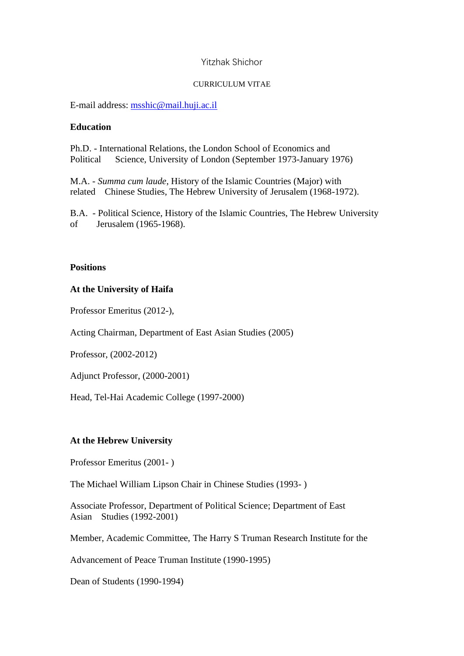# Yitzhak Shichor

## CURRICULUM VITAE

E-mail address: [msshic@mail.huji.ac.il](mailto:msshic@mail.huji.ac.il)

# **Education**

Ph.D. - International Relations, the London School of Economics and Political Science, University of London (September 1973-January 1976)

M.A. - *Summa cum laude*, History of the Islamic Countries (Major) with related Chinese Studies, The Hebrew University of Jerusalem (1968-1972).

B.A. - Political Science, History of the Islamic Countries, The Hebrew University of Jerusalem (1965-1968).

# **Positions**

# **At the University of Haifa**

Professor Emeritus (2012-),

Acting Chairman, Department of East Asian Studies (2005)

Professor, (2002-2012)

Adjunct Professor, (2000-2001)

Head, Tel-Hai Academic College (1997-2000)

# **At the Hebrew University**

Professor Emeritus (2001- )

The Michael William Lipson Chair in Chinese Studies (1993- )

Associate Professor, Department of Political Science; Department of East Asian Studies (1992-2001)

Member, Academic Committee, The Harry S Truman Research Institute for the

Advancement of Peace Truman Institute (1990-1995)

Dean of Students (1990-1994)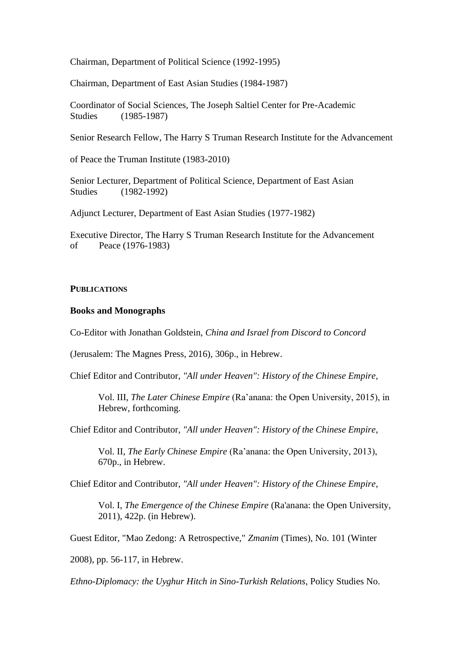Chairman, Department of Political Science (1992-1995)

Chairman, Department of East Asian Studies (1984-1987)

Coordinator of Social Sciences, The Joseph Saltiel Center for Pre-Academic Studies (1985-1987)

Senior Research Fellow, The Harry S Truman Research Institute for the Advancement

of Peace the Truman Institute (1983-2010)

Senior Lecturer, Department of Political Science, Department of East Asian Studies (1982-1992)

Adjunct Lecturer, Department of East Asian Studies (1977-1982)

Executive Director, The Harry S Truman Research Institute for the Advancement of Peace (1976-1983)

#### **PUBLICATIONS**

#### **Books and Monographs**

Co-Editor with Jonathan Goldstein, *China and Israel from Discord to Concord*

(Jerusalem: The Magnes Press, 2016), 306p., in Hebrew.

Chief Editor and Contributor, *"All under Heaven": History of the Chinese Empire*,

Vol. III, *The Later Chinese Empire* (Ra'anana: the Open University, 2015), in Hebrew, forthcoming.

Chief Editor and Contributor, *"All under Heaven": History of the Chinese Empire*,

Vol. II, *The Early Chinese Empire* (Ra'anana: the Open University, 2013), 670p., in Hebrew.

Chief Editor and Contributor, *"All under Heaven": History of the Chinese Empire*,

Vol. I, *The Emergence of the Chinese Empire* (Ra'anana: the Open University, 2011), 422p. (in Hebrew).

Guest Editor, "Mao Zedong: A Retrospective," *Zmanim* (Times), No. 101 (Winter

2008), pp. 56-117, in Hebrew.

*Ethno-Diplomacy: the Uyghur Hitch in Sino-Turkish Relations*, Policy Studies No.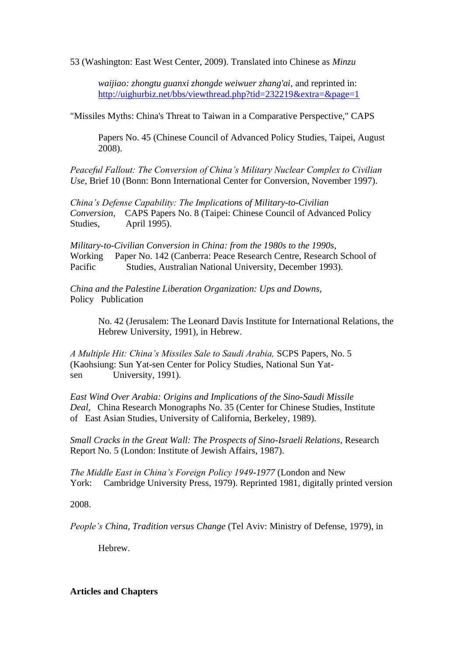53 (Washington: East West Center, 2009). Translated into Chinese as *Minzu*

*waijiao: zhongtu guanxi zhongde weiwuer zhang'ai*, and reprinted in: <http://uighurbiz.net/bbs/viewthread.php?tid=232219&extra=&page=1>

"Missiles Myths: China's Threat to Taiwan in a Comparative Perspective," CAPS

Papers No. 45 (Chinese Council of Advanced Policy Studies, Taipei, August 2008).

*Peaceful Fallout: The Conversion of China's Military Nuclear Complex to Civilian Use*, Brief 10 (Bonn: Bonn International Center for Conversion, November 1997).

*China's Defense Capability: The Implications of Military-to-Civilian Conversion,* CAPS Papers No. 8 (Taipei: Chinese Council of Advanced Policy Studies, April 1995).

*Military-to-Civilian Conversion in China: from the 1980s to the 1990s,*  Working Paper No. 142 (Canberra: Peace Research Centre, Research School of Pacific Studies, Australian National University, December 1993).

*China and the Palestine Liberation Organization: Ups and Downs,* Policy Publication

> No. 42 (Jerusalem: The Leonard Davis Institute for International Relations, the Hebrew University, 1991), in Hebrew.

*A Multiple Hit: China's Missiles Sale to Saudi Arabia,* SCPS Papers, No. 5 (Kaohsiung: Sun Yat-sen Center for Policy Studies, National Sun Yatsen University, 1991).

*East Wind Over Arabia: Origins and Implications of the Sino-Saudi Missile Deal,* China Research Monographs No. 35 (Center for Chinese Studies, Institute of East Asian Studies, University of California, Berkeley, 1989).

*Small Cracks in the Great Wall: The Prospects of Sino-Israeli Relations,* Research Report No. 5 (London: Institute of Jewish Affairs, 1987).

*The Middle East in China's Foreign Policy 1949-1977* (London and New York: Cambridge University Press, 1979). Reprinted 1981, digitally printed version

2008.

*People's China, Tradition versus Change* (Tel Aviv: Ministry of Defense, 1979), in

Hebrew.

# **Articles and Chapters**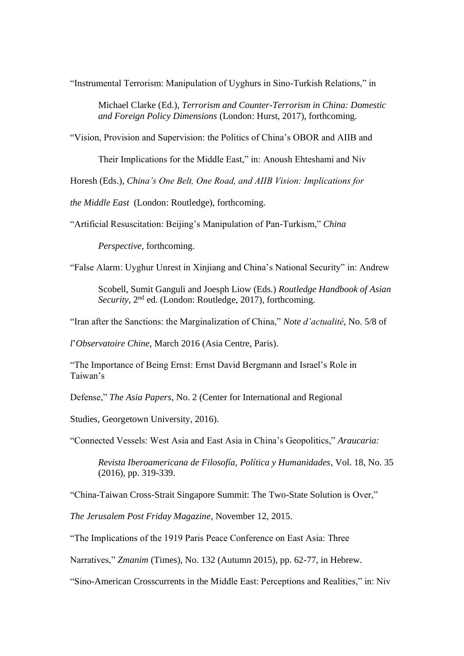"Instrumental Terrorism: Manipulation of Uyghurs in Sino-Turkish Relations," in

Michael Clarke (Ed.), *Terrorism and Counter-Terrorism in China: Domestic and Foreign Policy Dimensions* (London: Hurst, 2017), forthcoming.

"Vision, Provision and Supervision: the Politics of China's OBOR and AIIB and

Their Implications for the Middle East," in: Anoush Ehteshami and Niv

Horesh (Eds.), *China's One Belt, One Road, and AIIB Vision: Implications for* 

*the Middle East* (London: Routledge), forthcoming.

"Artificial Resuscitation: Beijing's Manipulation of Pan-Turkism," *China* 

*Perspective*, forthcoming.

"False Alarm: Uyghur Unrest in Xinjiang and China's National Security" in: Andrew

Scobell, Sumit Ganguli and Joesph Liow (Eds.) *Routledge Handbook of Asian Security*, 2nd ed. (London: Routledge, 2017), forthcoming.

"Iran after the Sanctions: the Marginalization of China," *Note d'actualité*, No. 5/8 of

*l*'*Observatoire Chine*, March 2016 (Asia Centre, Paris).

"The Importance of Being Ernst: Ernst David Bergmann and Israel's Role in Taiwan's

Defense," *The Asia Papers*, No. 2 (Center for International and Regional

Studies, Georgetown University, 2016).

"Connected Vessels: West Asia and East Asia in China's Geopolitics," *Araucaria:*

*Revista Iberoamericana de Filosofía, Política y Humanidades*, Vol. 18, No. 35 (2016), pp. 319-339.

"China-Taiwan Cross-Strait Singapore Summit: The Two-State Solution is Over,"

*The Jerusalem Post Friday Magazine*, November 12, 2015.

"The Implications of the 1919 Paris Peace Conference on East Asia: Three

Narratives," *Zmanim* (Times), No. 132 (Autumn 2015), pp. 62-77, in Hebrew.

"Sino-American Crosscurrents in the Middle East: Perceptions and Realities," in: Niv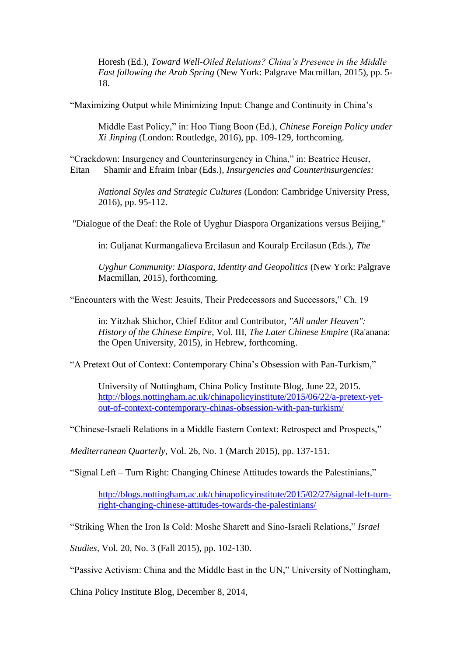Horesh (Ed.), *Toward Well-Oiled Relations? China's Presence in the Middle East following the Arab Spring* (New York: Palgrave Macmillan, 2015), pp. 5- 18.

"Maximizing Output while Minimizing Input: Change and Continuity in China's

Middle East Policy," in: Hoo Tiang Boon (Ed.), *Chinese Foreign Policy under Xi Jinping* (London: Routledge, 2016), pp. 109-129, forthcoming.

"Crackdown: Insurgency and Counterinsurgency in China," in: Beatrice Heuser, Eitan Shamir and Efraim Inbar (Eds.), *Insurgencies and Counterinsurgencies:*

*National Styles and Strategic Cultures* (London: Cambridge University Press, 2016), pp. 95-112.

"Dialogue of the Deaf: the Role of Uyghur Diaspora Organizations versus Beijing,"

in: Guljanat Kurmangalieva Ercilasun and Kouralp Ercilasun (Eds.), *The*

*Uyghur Community: Diaspora, Identity and Geopolitics* (New York: Palgrave Macmillan, 2015), forthcoming.

"Encounters with the West: Jesuits, Their Predecessors and Successors," Ch. 19

in: Yitzhak Shichor, Chief Editor and Contributor, *"All under Heaven": History of the Chinese Empire*, Vol. III, *The Later Chinese Empire* (Ra'anana: the Open University, 2015), in Hebrew, forthcoming.

"A Pretext Out of Context: Contemporary China's Obsession with Pan-Turkism,"

University of Nottingham, China Policy Institute Blog, June 22, 2015. [http://blogs.nottingham.ac.uk/chinapolicyinstitute/2015/06/22/a-pretext-yet](http://blogs.nottingham.ac.uk/chinapolicyinstitute/2015/06/22/a-pretext-yet-out-of-context-contemporary-chinas-obsession-with-pan-turkism/)[out-of-context-contemporary-chinas-obsession-with-pan-turkism/](http://blogs.nottingham.ac.uk/chinapolicyinstitute/2015/06/22/a-pretext-yet-out-of-context-contemporary-chinas-obsession-with-pan-turkism/)

"Chinese-Israeli Relations in a Middle Eastern Context: Retrospect and Prospects,"

*Mediterranean Quarterly*, Vol. 26, No. 1 (March 2015), pp. 137-151.

"Signal Left – Turn Right: Changing Chinese Attitudes towards the Palestinians,"

[http://blogs.nottingham.ac.uk/chinapolicyinstitute/2015/02/27/signal-left-turn](http://blogs.nottingham.ac.uk/chinapolicyinstitute/2015/02/27/signal-left-turn-right-changing-chinese-attitudes-towards-the-palestinians/)[right-changing-chinese-attitudes-towards-the-palestinians/](http://blogs.nottingham.ac.uk/chinapolicyinstitute/2015/02/27/signal-left-turn-right-changing-chinese-attitudes-towards-the-palestinians/)

"Striking When the Iron Is Cold: Moshe Sharett and Sino-Israeli Relations," *Israel*

*Studies*, Vol. 20, No. 3 (Fall 2015), pp. 102-130.

"Passive Activism: China and the Middle East in the UN," University of Nottingham,

China Policy Institute Blog, December 8, 2014,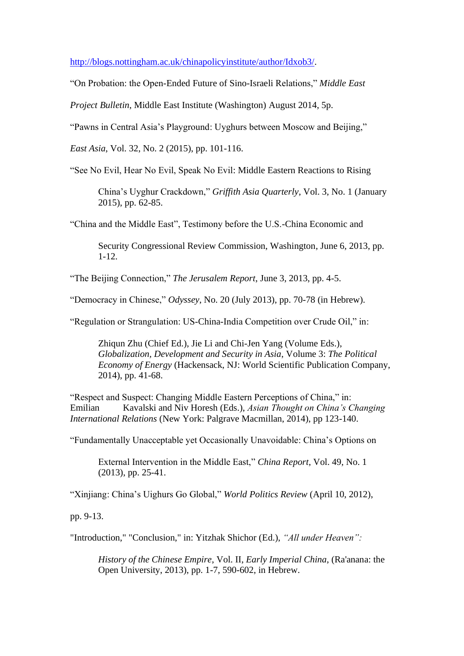[http://blogs.nottingham.ac.uk/chinapolicyinstitute/author/Idxob3/.](http://blogs.nottingham.ac.uk/chinapolicyinstitute/author/Idxob3/)

"On Probation: the Open-Ended Future of Sino-Israeli Relations," *Middle East*

*Project Bulletin*, Middle East Institute (Washington) August 2014, 5p.

"Pawns in Central Asia's Playground: Uyghurs between Moscow and Beijing,"

*East Asia*, Vol. 32, No. 2 (2015), pp. 101-116.

"See No Evil, Hear No Evil, Speak No Evil: Middle Eastern Reactions to Rising

China's Uyghur Crackdown," *Griffith Asia Quarterly*, Vol. 3, No. 1 (January 2015), pp. 62-85.

"China and the Middle East", Testimony before the U.S.-China Economic and

Security Congressional Review Commission, Washington, June 6, 2013, pp. 1-12.

"The Beijing Connection," *The Jerusalem Report*, June 3, 2013, pp. 4-5.

"Democracy in Chinese," *Odyssey*, No. 20 (July 2013), pp. 70-78 (in Hebrew).

"Regulation or Strangulation: US-China-India Competition over Crude Oil," in:

Zhiqun Zhu (Chief Ed.), Jie Li and Chi-Jen Yang (Volume Eds.), *Globalization, Development and Security in Asia*, Volume 3: *The Political Economy of Energy* (Hackensack, NJ: World Scientific Publication Company, 2014), pp. 41-68.

"Respect and Suspect: Changing Middle Eastern Perceptions of China," in: Emilian Kavalski and Niv Horesh (Eds.), *Asian Thought on China's Changing International Relations* (New York: Palgrave Macmillan, 2014), pp 123-140.

"Fundamentally Unacceptable yet Occasionally Unavoidable: China's Options on

External Intervention in the Middle East," *China Report*, Vol. 49, No. 1 (2013), pp. 25-41.

"Xinjiang: China's Uighurs Go Global," *World Politics Review* (April 10, 2012),

pp. 9-13.

"Introduction," "Conclusion," in: Yitzhak Shichor (Ed.), *"All under Heaven":*

*History of the Chinese Empire*, Vol. II, *Early Imperial China*, (Ra'anana: the Open University, 2013), pp. 1-7, 590-602, in Hebrew.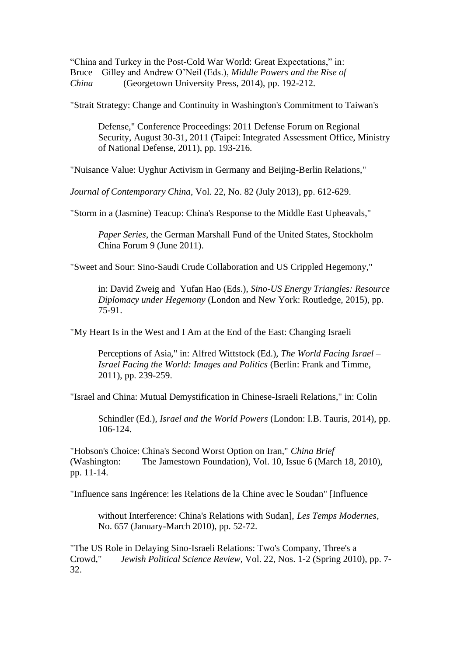"China and Turkey in the Post-Cold War World: Great Expectations," in: Bruce Gilley and Andrew O'Neil (Eds.), *Middle Powers and the Rise of China* (Georgetown University Press, 2014), pp. 192-212.

"Strait Strategy: Change and Continuity in Washington's Commitment to Taiwan's

Defense," Conference Proceedings: 2011 Defense Forum on Regional Security, August 30-31, 2011 (Taipei: Integrated Assessment Office, Ministry of National Defense, 2011), pp. 193-216.

"Nuisance Value: Uyghur Activism in Germany and Beijing-Berlin Relations,"

*Journal of Contemporary China*, Vol. 22, No. 82 (July 2013), pp. 612-629.

"Storm in a (Jasmine) Teacup: China's Response to the Middle East Upheavals,"

*Paper Series*, the German Marshall Fund of the United States, Stockholm China Forum 9 (June 2011).

"Sweet and Sour: Sino-Saudi Crude Collaboration and US Crippled Hegemony,"

in: David Zweig and Yufan Hao (Eds.), *Sino-US Energy Triangles: Resource Diplomacy under Hegemony* (London and New York: Routledge, 2015), pp. 75-91.

"My Heart Is in the West and I Am at the End of the East: Changing Israeli

Perceptions of Asia," in: Alfred Wittstock (Ed.), *The World Facing Israel – Israel Facing the World: Images and Politics* (Berlin: Frank and Timme, 2011), pp. 239-259.

"Israel and China: Mutual Demystification in Chinese-Israeli Relations," in: Colin

Schindler (Ed.), *Israel and the World Powers* (London: I.B. Tauris, 2014), pp. 106-124.

"Hobson's Choice: China's Second Worst Option on Iran," *China Brief* (Washington: The Jamestown Foundation), Vol. 10, Issue 6 (March 18, 2010), pp. 11-14.

"Influence sans Ingérence: les Relations de la Chine avec le Soudan" [Influence

without Interference: China's Relations with Sudan], *Les Temps Modernes*, No. 657 (January-March 2010), pp. 52-72.

"The US Role in Delaying Sino-Israeli Relations: Two's Company, Three's a Crowd," *Jewish Political Science Review*, Vol. 22, Nos. 1-2 (Spring 2010), pp. 7- 32.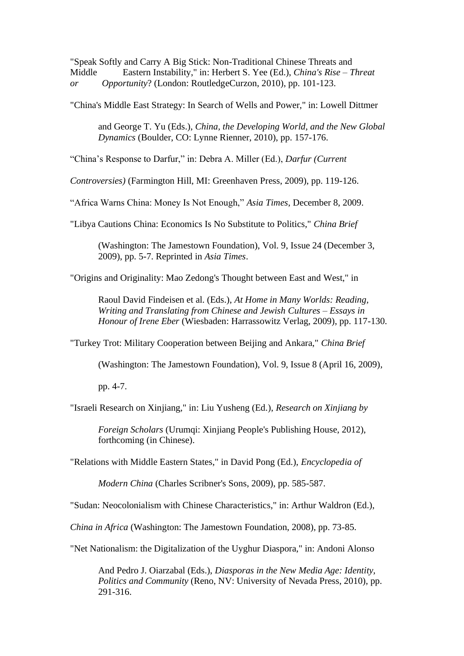"Speak Softly and Carry A Big Stick: Non-Traditional Chinese Threats and Middle Eastern Instability," in: Herbert S. Yee (Ed.), *China's Rise – Threat or Opportunity*? (London: RoutledgeCurzon, 2010), pp. 101-123.

"China's Middle East Strategy: In Search of Wells and Power," in: Lowell Dittmer

and George T. Yu (Eds.), *China, the Developing World, and the New Global Dynamics* (Boulder, CO: Lynne Rienner, 2010), pp. 157-176.

"China's Response to Darfur," in: Debra A. Miller (Ed.), *Darfur (Current*

*Controversies)* (Farmington Hill, MI: Greenhaven Press, 2009), pp. 119-126.

"Africa Warns China: Money Is Not Enough," *Asia Times*, December 8, 2009.

"Libya Cautions China: Economics Is No Substitute to Politics," *China Brief*

(Washington: The Jamestown Foundation), Vol. 9, Issue 24 (December 3, 2009), pp. 5-7. Reprinted in *Asia Times*.

"Origins and Originality: Mao Zedong's Thought between East and West," in

Raoul David Findeisen et al. (Eds.), *At Home in Many Worlds: Reading, Writing and Translating from Chinese and Jewish Cultures – Essays in Honour of Irene Eber* (Wiesbaden: Harrassowitz Verlag, 2009), pp. 117-130.

"Turkey Trot: Military Cooperation between Beijing and Ankara," *China Brief*

(Washington: The Jamestown Foundation), Vol. 9, Issue 8 (April 16, 2009),

pp. 4-7.

"Israeli Research on Xinjiang," in: Liu Yusheng (Ed.), *Research on Xinjiang by*

*Foreign Scholars* (Urumqi: Xinjiang People's Publishing House, 2012), forthcoming (in Chinese).

"Relations with Middle Eastern States," in David Pong (Ed.), *Encyclopedia of* 

*Modern China* (Charles Scribner's Sons, 2009), pp. 585-587.

"Sudan: Neocolonialism with Chinese Characteristics," in: Arthur Waldron (Ed.),

*China in Africa* (Washington: The Jamestown Foundation, 2008), pp. 73-85.

"Net Nationalism: the Digitalization of the Uyghur Diaspora," in: Andoni Alonso

And Pedro J. Oiarzabal (Eds.), *Diasporas in the New Media Age: Identity, Politics and Community* (Reno, NV: University of Nevada Press, 2010), pp. 291-316.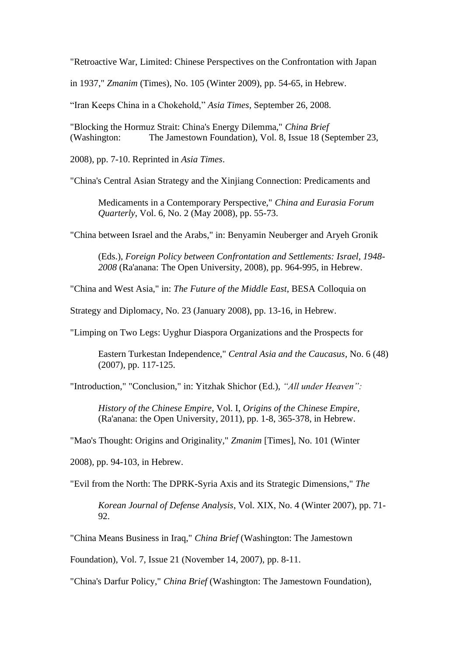"Retroactive War, Limited: Chinese Perspectives on the Confrontation with Japan

in 1937," *Zmanim* (Times), No. 105 (Winter 2009), pp. 54-65, in Hebrew.

"Iran Keeps China in a Chokehold," *Asia Times*, September 26, 2008.

"Blocking the Hormuz Strait: China's Energy Dilemma," *China Brief*  (Washington: The Jamestown Foundation), Vol. 8, Issue 18 (September 23,

2008), pp. 7-10. Reprinted in *Asia Times*.

"China's Central Asian Strategy and the Xinjiang Connection: Predicaments and

Medicaments in a Contemporary Perspective," *China and Eurasia Forum Quarterly*, Vol. 6, No. 2 (May 2008), pp. 55-73.

"China between Israel and the Arabs," in: Benyamin Neuberger and Aryeh Gronik

(Eds.), *Foreign Policy between Confrontation and Settlements: Israel, 1948- 2008* (Ra'anana: The Open University, 2008), pp. 964-995, in Hebrew.

"China and West Asia," in: *The Future of the Middle East*, BESA Colloquia on

Strategy and Diplomacy, No. 23 (January 2008), pp. 13-16, in Hebrew.

"Limping on Two Legs: Uyghur Diaspora Organizations and the Prospects for

Eastern Turkestan Independence," *Central Asia and the Caucasus*, No. 6 (48) (2007), pp. 117-125.

"Introduction," "Conclusion," in: Yitzhak Shichor (Ed.), *"All under Heaven":*

*History of the Chinese Empire*, Vol. I, *Origins of the Chinese Empire*, (Ra'anana: the Open University, 2011), pp. 1-8, 365-378, in Hebrew.

"Mao's Thought: Origins and Originality," *Zmanim* [Times], No. 101 (Winter

2008), pp. 94-103, in Hebrew.

"Evil from the North: The DPRK-Syria Axis and its Strategic Dimensions," *The*

*Korean Journal of Defense Analysis*, Vol. XIX, No. 4 (Winter 2007), pp. 71- 92.

"China Means Business in Iraq," *China Brief* (Washington: The Jamestown

Foundation), Vol. 7, Issue 21 (November 14, 2007), pp. 8-11.

"China's Darfur Policy," *China Brief* (Washington: The Jamestown Foundation),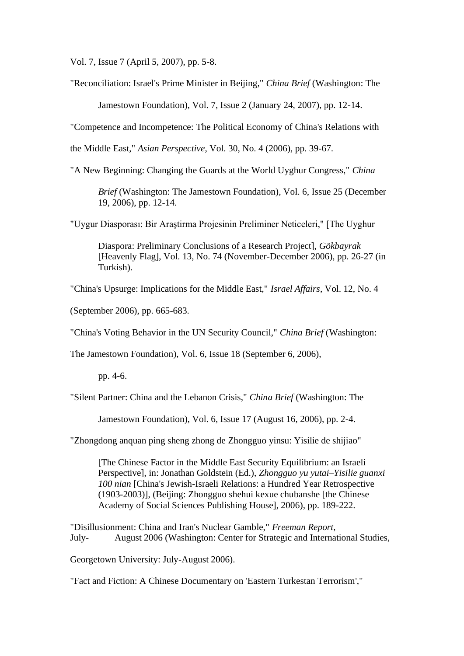Vol. 7, Issue 7 (April 5, 2007), pp. 5-8.

"Reconciliation: Israel's Prime Minister in Beijing," *China Brief* (Washington: The

Jamestown Foundation), Vol. 7, Issue 2 (January 24, 2007), pp. 12-14.

"Competence and Incompetence: The Political Economy of China's Relations with

the Middle East," *Asian Perspective*, Vol. 30, No. 4 (2006), pp. 39-67.

"A New Beginning: Changing the Guards at the World Uyghur Congress," *China*

*Brief* (Washington: The Jamestown Foundation), Vol. 6, Issue 25 (December 19, 2006), pp. 12-14.

"Uygur Diasporası: Bir Araştirma Projesinin Preliminer Neticeleri," [The Uyghur

Diaspora: Preliminary Conclusions of a Research Project], *Gökbayrak* [Heavenly Flag], Vol. 13, No. 74 (November-December 2006), pp. 26-27 (in Turkish).

"China's Upsurge: Implications for the Middle East," *Israel Affairs*, Vol. 12, No. 4

(September 2006), pp. 665-683.

"China's Voting Behavior in the UN Security Council," *China Brief* (Washington:

The Jamestown Foundation), Vol. 6, Issue 18 (September 6, 2006),

pp. 4-6.

"Silent Partner: China and the Lebanon Crisis," *China Brief* (Washington: The

Jamestown Foundation), Vol. 6, Issue 17 (August 16, 2006), pp. 2-4.

"Zhongdong anquan ping sheng zhong de Zhongguo yinsu: Yisilie de shijiao"

[The Chinese Factor in the Middle East Security Equilibrium: an Israeli Perspective], in: Jonathan Goldstein (Ed.), *Zhongguo yu yutai–Yisilie guanxi 100 nian* [China's Jewish-Israeli Relations: a Hundred Year Retrospective (1903-2003)], (Beijing: Zhongguo shehui kexue chubanshe [the Chinese Academy of Social Sciences Publishing House], 2006), pp. 189-222.

"Disillusionment: China and Iran's Nuclear Gamble," *Freeman Report*, July- August 2006 (Washington: Center for Strategic and International Studies,

Georgetown University: July-August 2006).

"Fact and Fiction: A Chinese Documentary on 'Eastern Turkestan Terrorism',"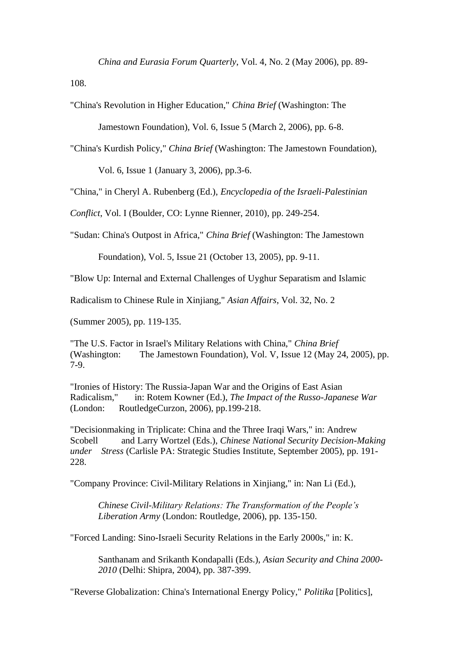*China and Eurasia Forum Quarterly*, Vol. 4, No. 2 (May 2006), pp. 89-

108.

"China's Revolution in Higher Education," *China Brief* (Washington: The

Jamestown Foundation), Vol. 6, Issue 5 (March 2, 2006), pp. 6-8.

"China's Kurdish Policy," *China Brief* (Washington: The Jamestown Foundation),

Vol. 6, Issue 1 (January 3, 2006), pp.3-6.

"China," in Cheryl A. Rubenberg (Ed.), *Encyclopedia of the Israeli-Palestinian*

*Conflict*, Vol. I (Boulder, CO: Lynne Rienner, 2010), pp. 249-254.

"Sudan: China's Outpost in Africa," *China Brief* (Washington: The Jamestown

Foundation), Vol. 5, Issue 21 (October 13, 2005), pp. 9-11.

"Blow Up: Internal and External Challenges of Uyghur Separatism and Islamic

Radicalism to Chinese Rule in Xinjiang," *Asian Affairs*, Vol. 32, No. 2

(Summer 2005), pp. 119-135.

"The U.S. Factor in Israel's Military Relations with China," *China Brief*  (Washington: The Jamestown Foundation), Vol. V, Issue 12 (May 24, 2005), pp. 7-9.

"Ironies of History: The Russia-Japan War and the Origins of East Asian Radicalism," in: Rotem Kowner (Ed.), *The Impact of the Russo-Japanese War*  (London: RoutledgeCurzon, 2006), pp.199-218.

"Decisionmaking in Triplicate: China and the Three Iraqi Wars," in: Andrew Scobell and Larry Wortzel (Eds.), *Chinese National Security Decision-Making under Stress* (Carlisle PA: Strategic Studies Institute, September 2005), pp. 191- 228.

"Company Province: Civil-Military Relations in Xinjiang," in: Nan Li (Ed.),

*Chinese Civil-Military Relations: The Transformation of the People's Liberation Army* (London: Routledge, 2006), pp. 135-150.

"Forced Landing: Sino-Israeli Security Relations in the Early 2000s," in: K.

Santhanam and Srikanth Kondapalli (Eds.), *Asian Security and China 2000- 2010* (Delhi: Shipra, 2004), pp. 387-399.

"Reverse Globalization: China's International Energy Policy," *Politika* [Politics],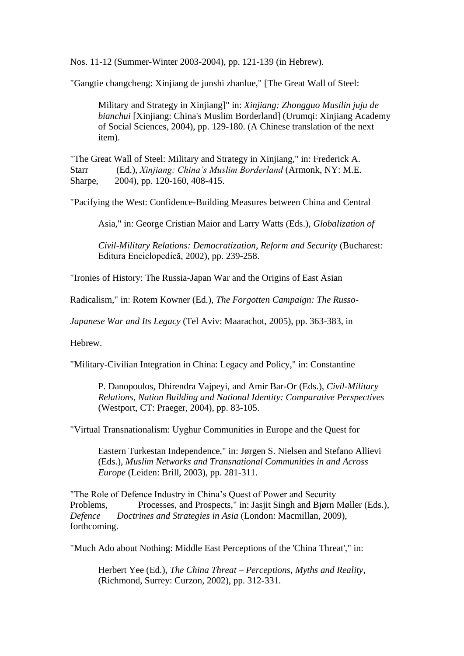Nos. 11-12 (Summer-Winter 2003-2004), pp. 121-139 (in Hebrew).

"Gangtie changcheng: Xinjiang de junshi zhanlue," [The Great Wall of Steel:

Military and Strategy in Xinjiang]" in: *Xinjiang: Zhongguo Musilin juju de bianchui* [Xinjiang: China's Muslim Borderland] (Urumqi: Xinjiang Academy of Social Sciences, 2004), pp. 129-180. (A Chinese translation of the next item).

"The Great Wall of Steel: Military and Strategy in Xinjiang," in: Frederick A. Starr (Ed.), *Xinjiang: China's Muslim Borderland* (Armonk, NY: M.E. Sharpe, 2004), pp. 120-160, 408-415.

"Pacifying the West: Confidence-Building Measures between China and Central

Asia," in: George Cristian Maior and Larry Watts (Eds.), *Globalization of* 

*Civil-Military Relations: Democratization, Reform and Security* (Bucharest: Editura Enciclopedică, 2002), pp. 239-258.

"Ironies of History: The Russia-Japan War and the Origins of East Asian

Radicalism," in: Rotem Kowner (Ed.), *The Forgotten Campaign: The Russo-*

*Japanese War and Its Legacy* (Tel Aviv: Maarachot, 2005), pp. 363-383, in

Hebrew.

"Military-Civilian Integration in China: Legacy and Policy," in: Constantine

P. Danopoulos, Dhirendra Vajpeyi, and Amir Bar-Or (Eds.), *Civil-Military Relations, Nation Building and National Identity: Comparative Perspectives* (Westport, CT: Praeger, 2004), pp. 83-105.

"Virtual Transnationalism: Uyghur Communities in Europe and the Quest for

Eastern Turkestan Independence," in: Jørgen S. Nielsen and Stefano Allievi (Eds.), *Muslim Networks and Transnational Communities in and Across Europe* (Leiden: Brill, 2003), pp. 281-311.

"The Role of Defence Industry in China's Quest of Power and Security Problems, Processes, and Prospects," in: Jasjit Singh and Bjørn Møller (Eds.), *Defence Doctrines and Strategies in Asia* (London: Macmillan, 2009), forthcoming.

"Much Ado about Nothing: Middle East Perceptions of the 'China Threat'," in:

Herbert Yee (Ed.), *The China Threat – Perceptions, Myths and Reality*, (Richmond, Surrey: Curzon, 2002), pp. 312-331.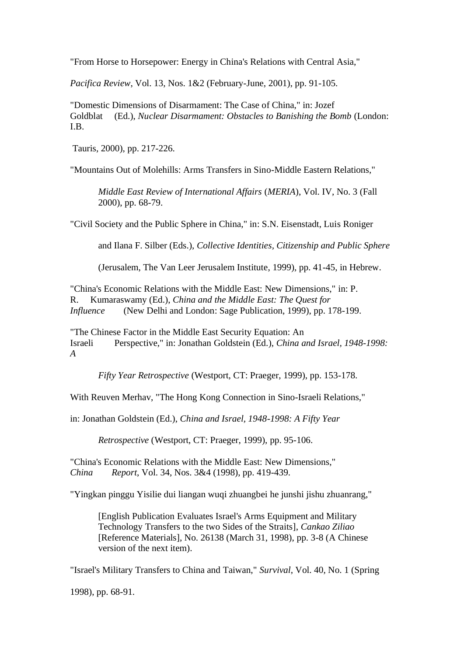"From Horse to Horsepower: Energy in China's Relations with Central Asia,"

*Pacifica Review*, Vol. 13, Nos. 1&2 (February-June, 2001), pp. 91-105.

"Domestic Dimensions of Disarmament: The Case of China," in: Jozef Goldblat (Ed.), *Nuclear Disarmament: Obstacles to Banishing the Bomb* (London: I.B.

Tauris, 2000), pp. 217-226.

"Mountains Out of Molehills: Arms Transfers in Sino-Middle Eastern Relations,"

*Middle East Review of International Affairs* (*MERIA*), Vol. IV, No. 3 (Fall 2000), pp. 68-79.

"Civil Society and the Public Sphere in China," in: S.N. Eisenstadt, Luis Roniger

and Ilana F. Silber (Eds.), *Collective Identities, Citizenship and Public Sphere*

(Jerusalem, The Van Leer Jerusalem Institute, 1999), pp. 41-45, in Hebrew.

"China's Economic Relations with the Middle East: New Dimensions," in: P. R. Kumaraswamy (Ed.), *China and the Middle East: The Quest for Influence* (New Delhi and London: Sage Publication, 1999), pp. 178-199.

"The Chinese Factor in the Middle East Security Equation: An Israeli Perspective," in: Jonathan Goldstein (Ed.), *China and Israel, 1948-1998: A*

*Fifty Year Retrospective* (Westport, CT: Praeger, 1999), pp. 153-178.

With Reuven Merhav, "The Hong Kong Connection in Sino-Israeli Relations,"

in: Jonathan Goldstein (Ed.), *China and Israel, 1948-1998: A Fifty Year* 

*Retrospective* (Westport, CT: Praeger, 1999), pp. 95-106.

"China's Economic Relations with the Middle East: New Dimensions," *China Report*, Vol. 34, Nos. 3&4 (1998), pp. 419-439.

"Yingkan pinggu Yisilie dui liangan wuqi zhuangbei he junshi jishu zhuanrang,"

[English Publication Evaluates Israel's Arms Equipment and Military Technology Transfers to the two Sides of the Straits], *Cankao Ziliao* [Reference Materials], No. 26138 (March 31, 1998), pp. 3-8 (A Chinese version of the next item).

"Israel's Military Transfers to China and Taiwan," *Survival*, Vol. 40, No. 1 (Spring

1998), pp. 68-91.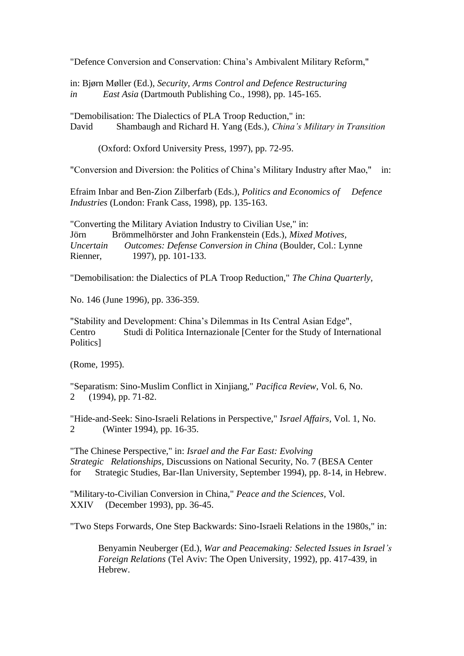"Defence Conversion and Conservation: China's Ambivalent Military Reform,"

in: Bjørn Møller (Ed.), *Security, Arms Control and Defence Restructuring in East Asia* (Dartmouth Publishing Co., 1998), pp. 145-165.

"Demobilisation: The Dialectics of PLA Troop Reduction," in: David Shambaugh and Richard H. Yang (Eds.), *China's Military in Transition*

(Oxford: Oxford University Press, 1997), pp. 72-95.

"Conversion and Diversion: the Politics of China's Military Industry after Mao," in:

Efraim Inbar and Ben-Zion Zilberfarb (Eds.), *Politics and Economics of Defence Industries* (London: Frank Cass, 1998), pp. 135-163.

"Converting the Military Aviation Industry to Civilian Use," in: Jörn Brömmelhörster and John Frankenstein (Eds.), *Mixed Motives, Uncertain Outcomes: Defense Conversion in China* (Boulder, Col.: Lynne Rienner, 1997), pp. 101-133.

"Demobilisation: the Dialectics of PLA Troop Reduction," *The China Quarterly,*

No. 146 (June 1996), pp. 336-359.

"Stability and Development: China's Dilemmas in Its Central Asian Edge", Centro Studi di Politica Internazionale [Center for the Study of International Politics]

(Rome, 1995).

"Separatism: Sino-Muslim Conflict in Xinjiang," *Pacifica Review,* Vol. 6, No. 2 (1994), pp. 71-82.

"Hide-and-Seek: Sino-Israeli Relations in Perspective," *ֹIsrael Affairs,* Vol. 1, No. 2 (Winter 1994), pp. 16-35.

"The Chinese Perspective," in: *Israel and the Far East: Evolving Strategic Relationships,* Discussions on National Security, No. 7 (BESA Center for Strategic Studies, Bar-Ilan University, September 1994), pp. 8-14, in Hebrew.

"Military-to-Civilian Conversion in China," *Peace and the Sciences,* Vol. XXIV (December 1993), pp. 36-45.

"Two Steps Forwards, One Step Backwards: Sino-Israeli Relations in the 1980s," in:

Benyamin Neuberger (Ed.), *War and Peacemaking: Selected Issues in Israel's Foreign Relations* (Tel Aviv: The Open University, 1992), pp. 417-439, in Hebrew.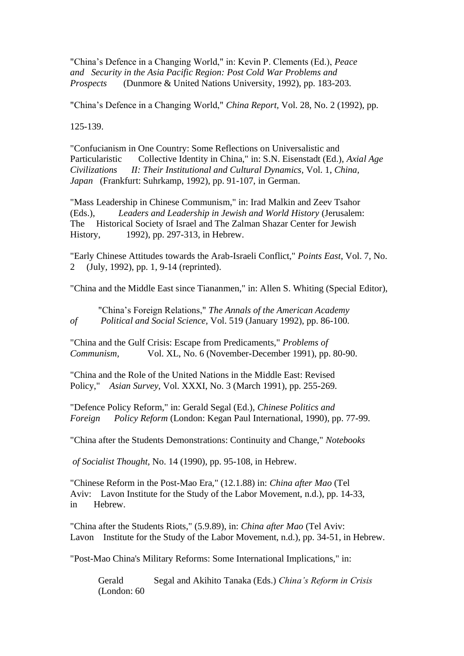"China's Defence in a Changing World," in: Kevin P. Clements (Ed.), *Peace and Security in the Asia Pacific Region: Post Cold War Problems and Prospects* (Dunmore & United Nations University, 1992), pp. 183-203.

"China's Defence in a Changing World," *China Report,* Vol. 28, No. 2 (1992), pp.

125-139.

"Confucianism in One Country: Some Reflections on Universalistic and Particularistic Collective Identity in China," in: S.N. Eisenstadt (Ed.), *Axial Age Civilizations II: Their Institutional and Cultural Dynamics,* Vol. 1, *China, Japan* (Frankfurt: Suhrkamp, 1992), pp. 91-107, in German.

"Mass Leadership in Chinese Communism," in: Irad Malkin and Zeev Tsahor (Eds.), *Leaders and Leadership in Jewish and World History* (Jerusalem: The Historical Society of Israel and The Zalman Shazar Center for Jewish History, 1992), pp. 297-313, in Hebrew.

"Early Chinese Attitudes towards the Arab-Israeli Conflict," *Points East*, Vol. 7, No. 2 (July, 1992), pp. 1, 9-14 (reprinted).

"China and the Middle East since Tiananmen," in: Allen S. Whiting (Special Editor),

"China's Foreign Relations," *ֹThe Annals of the American Academy of Political and Social Science,* Vol. 519 (January 1992), pp. 86-100.

"China and the Gulf Crisis: Escape from Predicaments," *Problems of Communism,* Vol. XL, No. 6 (November-December 1991), pp. 80-90.

"China and the Role of the United Nations in the Middle East: Revised Policy," *Asian Survey,* Vol. XXXI, No. 3 (March 1991), pp. 255-269.

"Defence Policy Reform," in: Gerald Segal (Ed.), *Chinese Politics and Foreign Policy Reform* (London: Kegan Paul International, 1990), pp. 77-99.

"China after the Students Demonstrations: Continuity and Change," *Notebooks*

*of Socialist Thought,* No. 14 (1990), pp. 95-108, in Hebrew.

"Chinese Reform in the Post-Mao Era," (12.1.88) in: *China after Mao* (Tel Aviv: Lavon Institute for the Study of the Labor Movement, n.d.), pp. 14-33, in Hebrew.

"China after the Students Riots," (5.9.89), in: *China after Mao* (Tel Aviv: Lavon Institute for the Study of the Labor Movement, n.d.), pp. 34-51, in Hebrew.

"Post-Mao China's Military Reforms: Some International Implications," in:

Gerald Segal and Akihito Tanaka (Eds.) *China's Reform in Crisis* (London: 60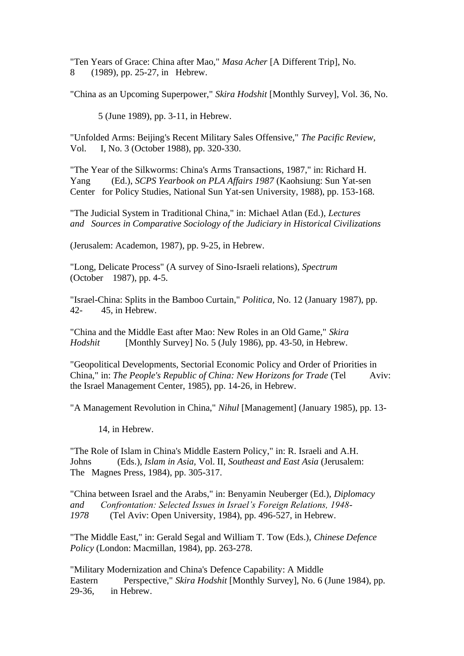"Ten Years of Grace: China after Mao," *Masa Acher* [A Different Trip], No. 8 (1989), pp. 25-27, in Hebrew.

"China as an Upcoming Superpower," *Skira Hodshit* [Monthly Survey], Vol. 36, No.

5 (June 1989), pp. 3-11, in Hebrew.

"Unfolded Arms: Beijing's Recent Military Sales Offensive," *The Pacific Review,*  Vol. I, No. 3 (October 1988), pp. 320-330.

"The Year of the Silkworms: China's Arms Transactions, 1987," in: Richard H. Yang (Ed.), *SCPS Yearbook on PLA Affairs 1987* (Kaohsiung: Sun Yat-sen Center for Policy Studies, National Sun Yat-sen University, 1988), pp. 153-168.

"The Judicial System in Traditional China," in: Michael Atlan (Ed.), *Lectures and Sources in Comparative Sociology of the Judiciary in Historical Civilizations*

(Jerusalem: Academon, 1987), pp. 9-25, in Hebrew.

"Long, Delicate Process" (A survey of Sino-Israeli relations), *Spectrum* (October 1987), pp. 4-5.

"Israel-China: Splits in the Bamboo Curtain," *Politica,* No. 12 (January 1987), pp. 42- 45, in Hebrew.

"China and the Middle East after Mao: New Roles in an Old Game," *Skira Hodshit* [Monthly Survey] No. 5 (July 1986), pp. 43-50, in Hebrew.

"Geopolitical Developments, Sectorial Economic Policy and Order of Priorities in China," in: *The People's Republic of China: New Horizons for Trade* (Tel Aviv: the Israel Management Center, 1985), pp. 14-26, in Hebrew.

"A Management Revolution in China," *Nihul* [Management] (January 1985), pp. 13-

14, in Hebrew.

"The Role of Islam in China's Middle Eastern Policy," in: R. Israeli and A.H. Johns (Eds.), *Islam in Asia,* Vol. II, *Southeast and East Asia* (Jerusalem: The Magnes Press, 1984), pp. 305-317.

"China between Israel and the Arabs," in: Benyamin Neuberger (Ed.), *Diplomacy and Confrontation: Selected Issues in Israel's Foreign Relations, 1948- 1978* (Tel Aviv: Open University, 1984), pp. 496-527, in Hebrew.

"The Middle East," in: Gerald Segal and William T. Tow (Eds.), *Chinese Defence Policy* (London: Macmillan, 1984), pp. 263-278.

"Military Modernization and China's Defence Capability: A Middle Eastern Perspective," *Skira Hodshit* [Monthly Survey], No. 6 (June 1984), pp. 29-36, in Hebrew.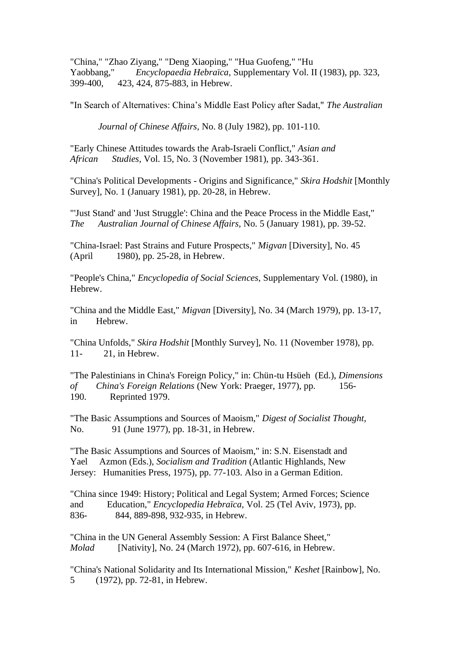"China," "Zhao Ziyang," "Deng Xiaoping," "Hua Guofeng," "Hu Yaobbang," *Encyclopaedia Hebraïca,* Supplementary Vol. II (1983), pp. 323, 399-400, 423, 424, 875-883, in Hebrew.

"In Search of Alternatives: China's Middle East Policy after Sadat," *The Australian* 

*Journal of Chinese Affairs,* No. 8 (July 1982), pp. 101-110.

"Early Chinese Attitudes towards the Arab-Israeli Conflict," *Asian and African Studies,* Vol. 15, No. 3 (November 1981), pp. 343-361.

"China's Political Developments - Origins and Significance," *Skira Hodshit* [Monthly Survey], No. 1 (January 1981), pp. 20-28, in Hebrew.

"'Just Stand' and 'Just Struggle': China and the Peace Process in the Middle East," *The Australian Journal of Chinese Affairs,* No. 5 (January 1981), pp. 39-52.

"China-Israel: Past Strains and Future Prospects," *ֹMigvan* [Diversity], No. 45 (April 1980), pp. 25-28, in Hebrew.

"People's China," *Encyclopedia of Social Sciences,* Supplementary Vol. (1980), in Hebrew.

"China and the Middle East," *Migvan* [Diversity], No. 34 (March 1979), pp. 13-17, in Hebrew.

"China Unfolds," *Skira Hodshit* [Monthly Survey], No. 11 (November 1978), pp. 11- 21, in Hebrew.

"The Palestinians in China's Foreign Policy," in: Chün-tu Hsüeh (Ed.), *Dimensions of China's Foreign Relations* (New York: Praeger, 1977), pp. 156- 190. Reprinted 1979.

"The Basic Assumptions and Sources of Maoism," *Digest of Socialist Thought*, No. 91 (June 1977), pp. 18-31, in Hebrew.

"The Basic Assumptions and Sources of Maoism," in: S.N. Eisenstadt and Yael Azmon (Eds.), *Socialism and Tradition* (Atlantic Highlands, New Jersey: Humanities Press, 1975), pp. 77-103. Also in a German Edition.

"China since 1949: History; Political and Legal System; Armed Forces; Science and Education," *Encyclopedia Hebraïca,* Vol. 25 (Tel Aviv, 1973), pp. 836- 844, 889-898, 932-935, in Hebrew.

"China in the UN General Assembly Session: A First Balance Sheet," *Molad* [Nativity], No. 24 (March 1972), pp. 607-616, in Hebrew.

"China's National Solidarity and Its International Mission," *Keshet* [Rainbow], No. 5 (1972), pp. 72-81, in Hebrew.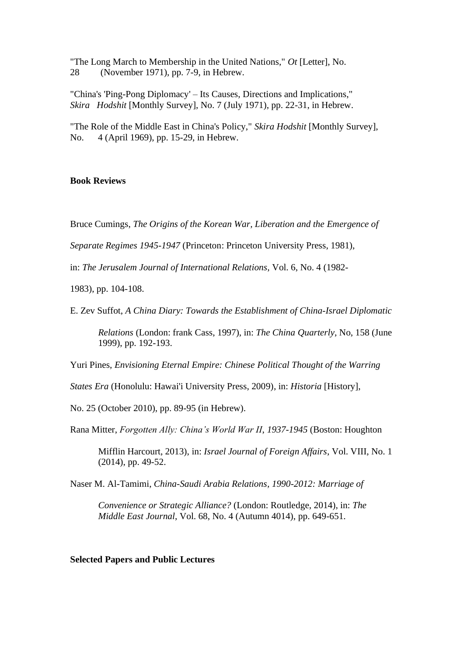"The Long March to Membership in the United Nations," *Ot* [Letter], No. 28 (November 1971), pp. 7-9, in Hebrew.

"China's 'Ping-Pong Diplomacy' – Its Causes, Directions and Implications," *Skira Hodshit* [Monthly Survey], No. 7 (July 1971), pp. 22-31, in Hebrew.

"The Role of the Middle East in China's Policy," *Skira Hodshit* [Monthly Survey], No. 4 (April 1969), pp. 15-29, in Hebrew.

#### **Book Reviews**

Bruce Cumings, *The Origins of the Korean War, Liberation and the Emergence of*

*Separate Regimes 1945-1947* (Princeton: Princeton University Press, 1981),

in: *The Jerusalem Journal of International Relations,* Vol. 6, No. 4 (1982-

1983), pp. 104-108.

E. Zev Suffot, *A China Diary: Towards the Establishment of China-Israel Diplomatic*

*Relations* (London: frank Cass, 1997), in: *The China Quarterly*, No, 158 (June 1999), pp. 192-193.

Yuri Pines, *Envisioning Eternal Empire: Chinese Political Thought of the Warring*

*States Era* (Honolulu: Hawai'i University Press, 2009), in: *Historia* [History],

No. 25 (October 2010), pp. 89-95 (in Hebrew).

Rana Mitter, *Forgotten Ally: China's World War II*, *1937-1945* (Boston: Houghton

Mifflin Harcourt, 2013), in: *Israel Journal of Foreign Affairs*, Vol. VIII, No. 1 (2014), pp. 49-52.

Naser M. Al-Tamimi, *China-Saudi Arabia Relations, 1990-2012: Marriage of* 

*Convenience or Strategic Alliance?* (London: Routledge, 2014), in: *The Middle East Journal*, Vol. 68, No. 4 (Autumn 4014), pp. 649-651.

**Selected Papers and Public Lectures**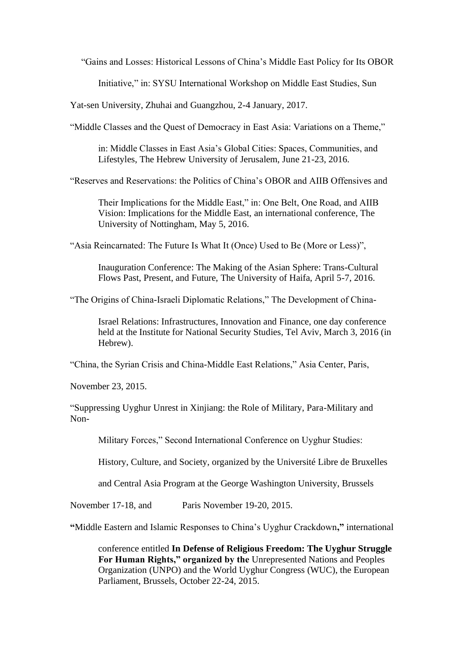"Gains and Losses: Historical Lessons of China's Middle East Policy for Its OBOR

Initiative," in: SYSU International Workshop on Middle East Studies, Sun

Yat-sen University, Zhuhai and Guangzhou, 2-4 January, 2017.

"Middle Classes and the Quest of Democracy in East Asia: Variations on a Theme,"

in: Middle Classes in East Asia's Global Cities: Spaces, Communities, and Lifestyles, The Hebrew University of Jerusalem, June 21-23, 2016.

"Reserves and Reservations: the Politics of China's OBOR and AIIB Offensives and

Their Implications for the Middle East," in: One Belt, One Road, and AIIB Vision: Implications for the Middle East, an international conference, The University of Nottingham, May 5, 2016.

"Asia Reincarnated: The Future Is What It (Once) Used to Be (More or Less)",

Inauguration Conference: The Making of the Asian Sphere: Trans-Cultural Flows Past, Present, and Future, The University of Haifa, April 5-7, 2016.

"The Origins of China-Israeli Diplomatic Relations," The Development of China-

Israel Relations: Infrastructures, Innovation and Finance, one day conference held at the Institute for National Security Studies, Tel Aviv, March 3, 2016 (in Hebrew).

"China, the Syrian Crisis and China-Middle East Relations," Asia Center, Paris,

November 23, 2015.

"Suppressing Uyghur Unrest in Xinjiang: the Role of Military, Para-Military and Non-

Military Forces," Second International Conference on Uyghur Studies:

History, Culture, and Society, organized by the Université Libre de Bruxelles

and Central Asia Program at the George Washington University, Brussels

November 17-18, and Paris November 19-20, 2015.

**"**Middle Eastern and Islamic Responses to China's Uyghur Crackdown**,"** international

conference entitled **In Defense of Religious Freedom: The Uyghur Struggle For Human Rights," organized by the** Unrepresented Nations and Peoples Organization (UNPO) and the World Uyghur Congress (WUC), the European Parliament, Brussels, October 22-24, 2015.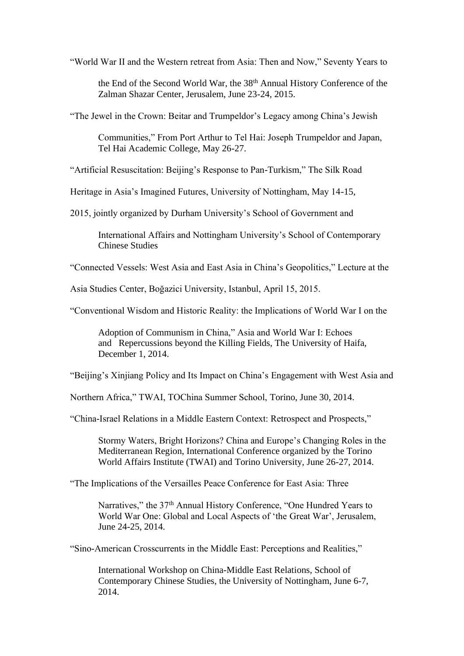"World War II and the Western retreat from Asia: Then and Now," Seventy Years to

the End of the Second World War, the 38th Annual History Conference of the Zalman Shazar Center, Jerusalem, June 23-24, 2015.

"The Jewel in the Crown: Beitar and Trumpeldor's Legacy among China's Jewish

Communities," From Port Arthur to Tel Hai: Joseph Trumpeldor and Japan, Tel Hai Academic College, May 26-27.

"Artificial Resuscitation: Beijing's Response to Pan-Turkism," The Silk Road

Heritage in Asia's Imagined Futures, University of Nottingham, May 14-15,

2015, jointly organized by Durham University's School of Government and

International Affairs and Nottingham University's School of Contemporary Chinese Studies

"Connected Vessels: West Asia and East Asia in China's Geopolitics," Lecture at the

Asia Studies Center, Boğazici University, Istanbul, April 15, 2015.

"Conventional Wisdom and Historic Reality: the Implications of World War I on the

Adoption of Communism in China," Asia and World War I: Echoes and Repercussions beyond the Killing Fields, The University of Haifa, December 1, 2014.

"Beijing's Xinjiang Policy and Its Impact on China's Engagement with West Asia and

Northern Africa," TWAI, TOChina Summer School, Torino, June 30, 2014.

"China-Israel Relations in a Middle Eastern Context: Retrospect and Prospects,"

Stormy Waters, Bright Horizons? China and Europe's Changing Roles in the Mediterranean Region, International Conference organized by the Torino World Affairs Institute (TWAI) and Torino University, June 26-27, 2014.

"The Implications of the Versailles Peace Conference for East Asia: Three

Narratives," the 37<sup>th</sup> Annual History Conference, "One Hundred Years to World War One: Global and Local Aspects of 'the Great War', Jerusalem, June 24-25, 2014.

"Sino-American Crosscurrents in the Middle East: Perceptions and Realities,"

International Workshop on China-Middle East Relations, School of Contemporary Chinese Studies, the University of Nottingham, June 6-7, 2014.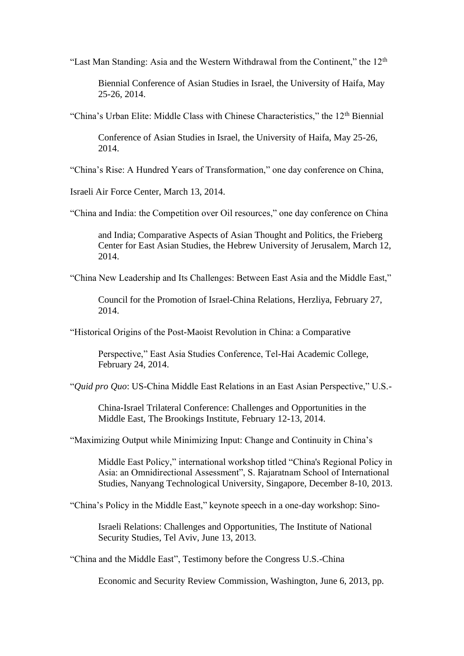"Last Man Standing: Asia and the Western Withdrawal from the Continent," the 12<sup>th</sup>

Biennial Conference of Asian Studies in Israel, the University of Haifa, May 25-26, 2014.

"China's Urban Elite: Middle Class with Chinese Characteristics," the 12<sup>th</sup> Biennial

Conference of Asian Studies in Israel, the University of Haifa, May 25-26, 2014.

"China's Rise: A Hundred Years of Transformation," one day conference on China,

Israeli Air Force Center, March 13, 2014.

"China and India: the Competition over Oil resources," one day conference on China

and India; Comparative Aspects of Asian Thought and Politics, the Frieberg Center for East Asian Studies, the Hebrew University of Jerusalem, March 12, 2014.

"China New Leadership and Its Challenges: Between East Asia and the Middle East,"

Council for the Promotion of Israel-China Relations, Herzliya, February 27, 2014.

"Historical Origins of the Post-Maoist Revolution in China: a Comparative

Perspective," East Asia Studies Conference, Tel-Hai Academic College, February 24, 2014.

"*Quid pro Quo*: US-China Middle East Relations in an East Asian Perspective," U.S.-

China-Israel Trilateral Conference: Challenges and Opportunities in the Middle East, The Brookings Institute, February 12-13, 2014.

"Maximizing Output while Minimizing Input: Change and Continuity in China's

Middle East Policy," international workshop titled "China's Regional Policy in Asia: an Omnidirectional Assessment", S. Rajaratnam School of International Studies, Nanyang Technological University, Singapore, December 8-10, 2013.

"China's Policy in the Middle East," keynote speech in a one-day workshop: Sino-

Israeli Relations: Challenges and Opportunities, The Institute of National Security Studies, Tel Aviv, June 13, 2013.

"China and the Middle East", Testimony before the Congress U.S.-China

Economic and Security Review Commission, Washington, June 6, 2013, pp.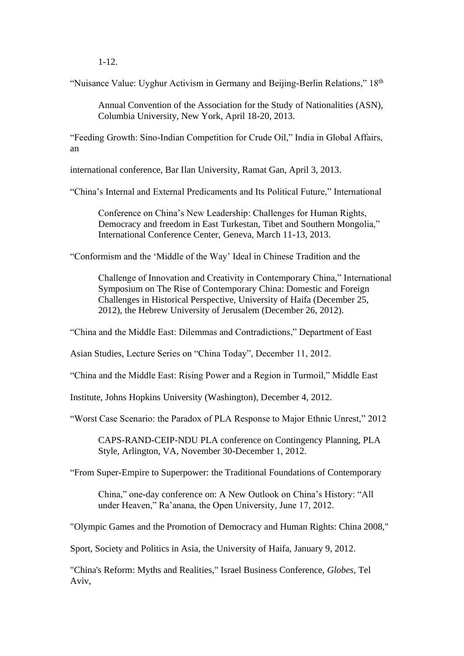1-12.

"Nuisance Value: Uyghur Activism in Germany and Beijing-Berlin Relations," 18th

Annual Convention of the Association for the Study of Nationalities (ASN), Columbia University, New York, April 18-20, 2013.

"Feeding Growth: Sino-Indian Competition for Crude Oil," India in Global Affairs, an

international conference, Bar Ilan University, Ramat Gan, April 3, 2013.

"China's Internal and External Predicaments and Its Political Future," International

Conference on China's New Leadership: Challenges for Human Rights, Democracy and freedom in East Turkestan, Tibet and Southern Mongolia," International Conference Center, Geneva, March 11-13, 2013.

"Conformism and the 'Middle of the Way' Ideal in Chinese Tradition and the

Challenge of Innovation and Creativity in Contemporary China," International Symposium on The Rise of Contemporary China: Domestic and Foreign Challenges in Historical Perspective, University of Haifa (December 25, 2012), the Hebrew University of Jerusalem (December 26, 2012).

"China and the Middle East: Dilemmas and Contradictions," Department of East

Asian Studies, Lecture Series on "China Today", December 11, 2012.

"China and the Middle East: Rising Power and a Region in Turmoil," Middle East

Institute, Johns Hopkins University (Washington), December 4, 2012.

"Worst Case Scenario: the Paradox of PLA Response to Major Ethnic Unrest," 2012

CAPS-RAND-CEIP-NDU PLA conference on Contingency Planning, PLA Style, Arlington, VA, November 30-December 1, 2012.

"From Super-Empire to Superpower: the Traditional Foundations of Contemporary

China," one-day conference on: A New Outlook on China's History: "All under Heaven," Ra'anana, the Open University, June 17, 2012.

"Olympic Games and the Promotion of Democracy and Human Rights: China 2008,"

Sport, Society and Politics in Asia, the University of Haifa, January 9, 2012.

"China's Reform: Myths and Realities," Israel Business Conference, *Globes*, Tel Aviv,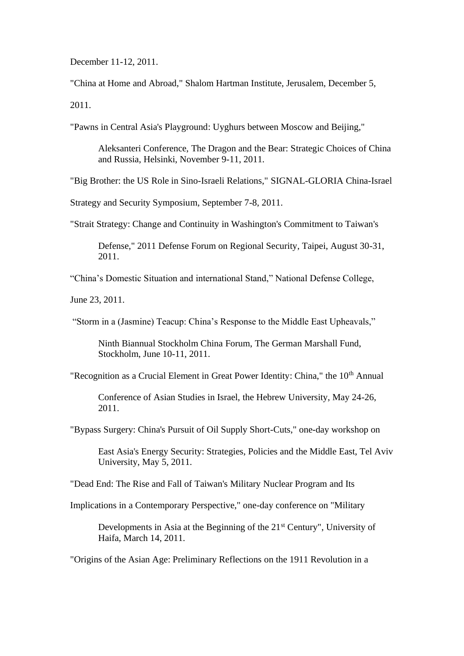December 11-12, 2011.

"China at Home and Abroad," Shalom Hartman Institute, Jerusalem, December 5, 2011.

"Pawns in Central Asia's Playground: Uyghurs between Moscow and Beijing,"

Aleksanteri Conference, The Dragon and the Bear: Strategic Choices of China and Russia, Helsinki, November 9-11, 2011.

"Big Brother: the US Role in Sino-Israeli Relations," SIGNAL-GLORIA China-Israel

Strategy and Security Symposium, September 7-8, 2011.

"Strait Strategy: Change and Continuity in Washington's Commitment to Taiwan's

Defense," 2011 Defense Forum on Regional Security, Taipei, August 30-31, 2011.

"China's Domestic Situation and international Stand," National Defense College,

June 23, 2011.

"Storm in a (Jasmine) Teacup: China's Response to the Middle East Upheavals,"

Ninth Biannual Stockholm China Forum, The German Marshall Fund, Stockholm, June 10-11, 2011.

"Recognition as a Crucial Element in Great Power Identity: China," the 10<sup>th</sup> Annual

Conference of Asian Studies in Israel, the Hebrew University, May 24-26, 2011.

"Bypass Surgery: China's Pursuit of Oil Supply Short-Cuts," one-day workshop on

East Asia's Energy Security: Strategies, Policies and the Middle East, Tel Aviv University, May 5, 2011.

"Dead End: The Rise and Fall of Taiwan's Military Nuclear Program and Its

Implications in a Contemporary Perspective," one-day conference on "Military

Developments in Asia at the Beginning of the 21<sup>st</sup> Century", University of Haifa, March 14, 2011.

"Origins of the Asian Age: Preliminary Reflections on the 1911 Revolution in a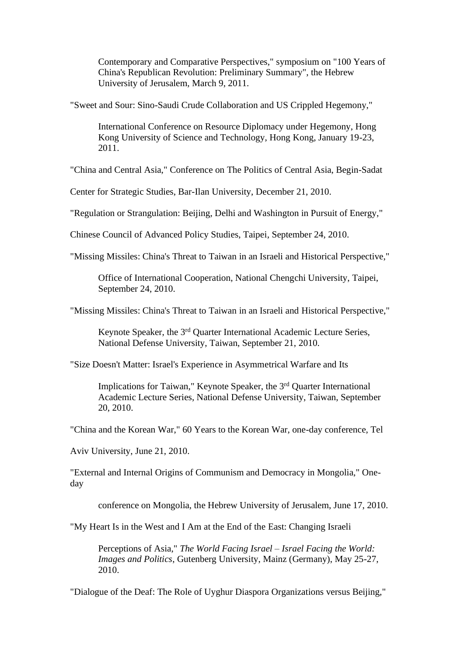Contemporary and Comparative Perspectives," symposium on "100 Years of China's Republican Revolution: Preliminary Summary", the Hebrew University of Jerusalem, March 9, 2011.

"Sweet and Sour: Sino-Saudi Crude Collaboration and US Crippled Hegemony,"

International Conference on Resource Diplomacy under Hegemony, Hong Kong University of Science and Technology, Hong Kong, January 19-23, 2011.

"China and Central Asia," Conference on The Politics of Central Asia, Begin-Sadat

Center for Strategic Studies, Bar-Ilan University, December 21, 2010.

"Regulation or Strangulation: Beijing, Delhi and Washington in Pursuit of Energy,"

Chinese Council of Advanced Policy Studies, Taipei, September 24, 2010.

"Missing Missiles: China's Threat to Taiwan in an Israeli and Historical Perspective,"

Office of International Cooperation, National Chengchi University, Taipei, September 24, 2010.

"Missing Missiles: China's Threat to Taiwan in an Israeli and Historical Perspective,"

Keynote Speaker, the 3<sup>rd</sup> Quarter International Academic Lecture Series, National Defense University, Taiwan, September 21, 2010.

"Size Doesn't Matter: Israel's Experience in Asymmetrical Warfare and Its

Implications for Taiwan," Keynote Speaker, the 3rd Quarter International Academic Lecture Series, National Defense University, Taiwan, September 20, 2010.

"China and the Korean War," 60 Years to the Korean War, one-day conference, Tel

Aviv University, June 21, 2010.

"External and Internal Origins of Communism and Democracy in Mongolia," Oneday

conference on Mongolia, the Hebrew University of Jerusalem, June 17, 2010.

"My Heart Is in the West and I Am at the End of the East: Changing Israeli

Perceptions of Asia," *The World Facing Israel – Israel Facing the World: Images and Politics*, Gutenberg University, Mainz (Germany), May 25-27, 2010.

"Dialogue of the Deaf: The Role of Uyghur Diaspora Organizations versus Beijing,"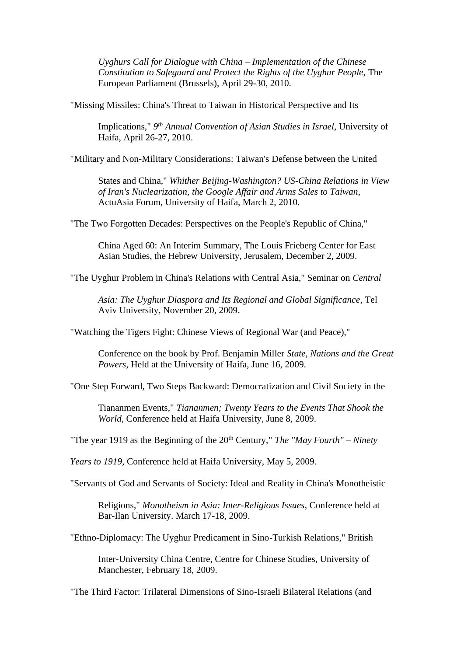*Uyghurs Call for Dialogue with China – Implementation of the Chinese Constitution to Safeguard and Protect the Rights of the Uyghur People*, The European Parliament (Brussels), April 29-30, 2010.

"Missing Missiles: China's Threat to Taiwan in Historical Perspective and Its

Implications," *9 th Annual Convention of Asian Studies in Israel*, University of Haifa, April 26-27, 2010.

"Military and Non-Military Considerations: Taiwan's Defense between the United

States and China," *Whither Beijing-Washington? US-China Relations in View of Iran's Nuclearization, the Google Affair and Arms Sales to Taiwan*, ActuAsia Forum, University of Haifa, March 2, 2010.

"The Two Forgotten Decades: Perspectives on the People's Republic of China,"

China Aged 60: An Interim Summary, The Louis Frieberg Center for East Asian Studies, the Hebrew University, Jerusalem, December 2, 2009.

"The Uyghur Problem in China's Relations with Central Asia," Seminar on *Central*

*Asia: The Uyghur Diaspora and Its Regional and Global Significance*, Tel Aviv University, November 20, 2009.

"Watching the Tigers Fight: Chinese Views of Regional War (and Peace),"

Conference on the book by Prof. Benjamin Miller *State, Nations and the Great Powers*, Held at the University of Haifa, June 16, 2009.

"One Step Forward, Two Steps Backward: Democratization and Civil Society in the

Tiananmen Events," *Tiananmen; Twenty Years to the Events That Shook the World*, Conference held at Haifa University, June 8, 2009.

"The year 1919 as the Beginning of the 20th Century," *The "May Fourth" – Ninety*

*Years to 1919*, Conference held at Haifa University, May 5, 2009.

"Servants of God and Servants of Society: Ideal and Reality in China's Monotheistic

Religions," *Monotheism in Asia: Inter-Religious Issues*, Conference held at Bar-Ilan University. March 17-18, 2009.

"Ethno-Diplomacy: The Uyghur Predicament in Sino-Turkish Relations," British

Inter-University China Centre, Centre for Chinese Studies, University of Manchester, February 18, 2009.

"The Third Factor: Trilateral Dimensions of Sino-Israeli Bilateral Relations (and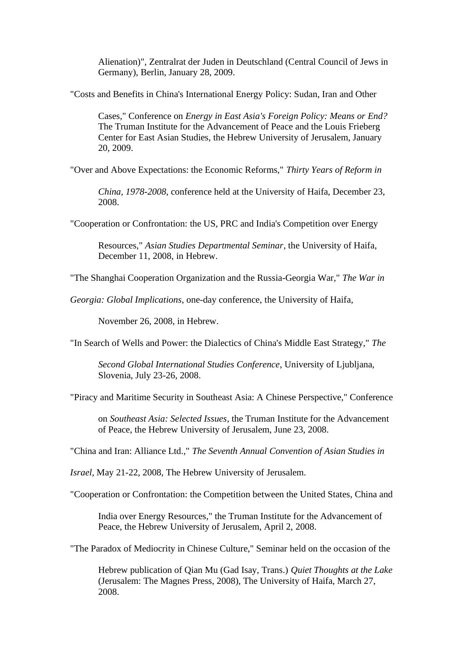Alienation)", Zentralrat der Juden in Deutschland (Central Council of Jews in Germany), Berlin, January 28, 2009.

"Costs and Benefits in China's International Energy Policy: Sudan, Iran and Other

Cases," Conference on *Energy in East Asia's Foreign Policy: Means or End?* The Truman Institute for the Advancement of Peace and the Louis Frieberg Center for East Asian Studies, the Hebrew University of Jerusalem, January 20, 2009.

"Over and Above Expectations: the Economic Reforms," *Thirty Years of Reform in*

*China, 1978-2008*, conference held at the University of Haifa, December 23, 2008.

"Cooperation or Confrontation: the US, PRC and India's Competition over Energy

Resources," *Asian Studies Departmental Seminar*, the University of Haifa, December 11, 2008, in Hebrew.

"The Shanghai Cooperation Organization and the Russia-Georgia War," *The War in*

*Georgia: Global Implications*, one-day conference, the University of Haifa,

November 26, 2008, in Hebrew.

"In Search of Wells and Power: the Dialectics of China's Middle East Strategy," *The*

*Second Global International Studies Conference*, University of Ljubljana, Slovenia, July 23-26, 2008.

"Piracy and Maritime Security in Southeast Asia: A Chinese Perspective," Conference

on *Southeast Asia: Selected Issues*, the Truman Institute for the Advancement of Peace, the Hebrew University of Jerusalem, June 23, 2008.

"China and Iran: Alliance Ltd.," *The Seventh Annual Convention of Asian Studies in*

*Israel*, May 21-22, 2008, The Hebrew University of Jerusalem.

"Cooperation or Confrontation: the Competition between the United States, China and

India over Energy Resources," the Truman Institute for the Advancement of Peace, the Hebrew University of Jerusalem, April 2, 2008.

"The Paradox of Mediocrity in Chinese Culture," Seminar held on the occasion of the

Hebrew publication of Qian Mu (Gad Isay, Trans.) *Quiet Thoughts at the Lake* (Jerusalem: The Magnes Press, 2008), The University of Haifa, March 27, 2008.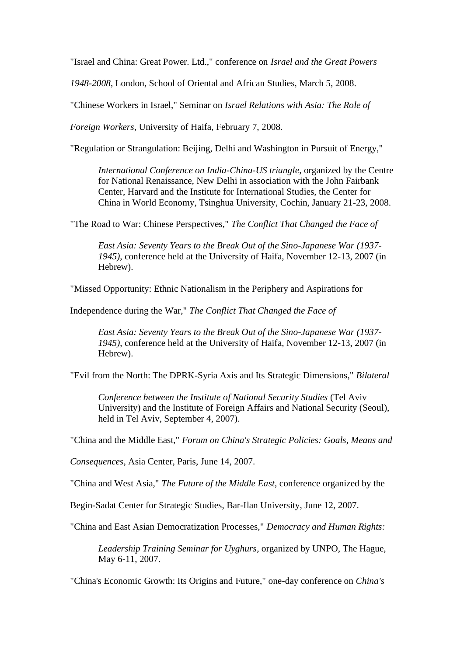"Israel and China: Great Power. Ltd.," conference on *Israel and the Great Powers*

*1948-2008*, London, School of Oriental and African Studies, March 5, 2008.

"Chinese Workers in Israel," Seminar on *Israel Relations with Asia: The Role of*

*Foreign Workers*, University of Haifa, February 7, 2008.

"Regulation or Strangulation: Beijing, Delhi and Washington in Pursuit of Energy,"

*International Conference on India-China-US triangle*, organized by the Centre for National Renaissance, New Delhi in association with the John Fairbank Center, Harvard and the Institute for International Studies, the Center for China in World Economy, Tsinghua University, Cochin, January 21-23, 2008.

"The Road to War: Chinese Perspectives," *The Conflict That Changed the Face of*

*East Asia: Seventy Years to the Break Out of the Sino-Japanese War (1937- 1945)*, conference held at the University of Haifa, November 12-13, 2007 (in Hebrew).

"Missed Opportunity: Ethnic Nationalism in the Periphery and Aspirations for

Independence during the War," *The Conflict That Changed the Face of*

*East Asia: Seventy Years to the Break Out of the Sino-Japanese War (1937- 1945)*, conference held at the University of Haifa, November 12-13, 2007 (in Hebrew).

"Evil from the North: The DPRK-Syria Axis and Its Strategic Dimensions," *Bilateral*

*Conference between the Institute of National Security Studies* (Tel Aviv University) and the Institute of Foreign Affairs and National Security (Seoul), held in Tel Aviv, September 4, 2007).

"China and the Middle East," *Forum on China's Strategic Policies: Goals, Means and*

*Consequences*, Asia Center, Paris, June 14, 2007.

"China and West Asia," *The Future of the Middle East*, conference organized by the

Begin-Sadat Center for Strategic Studies, Bar-Ilan University, June 12, 2007.

"China and East Asian Democratization Processes," *Democracy and Human Rights:*

*Leadership Training Seminar for Uyghurs*, organized by UNPO, The Hague, May 6-11, 2007.

"China's Economic Growth: Its Origins and Future," one-day conference on *China's*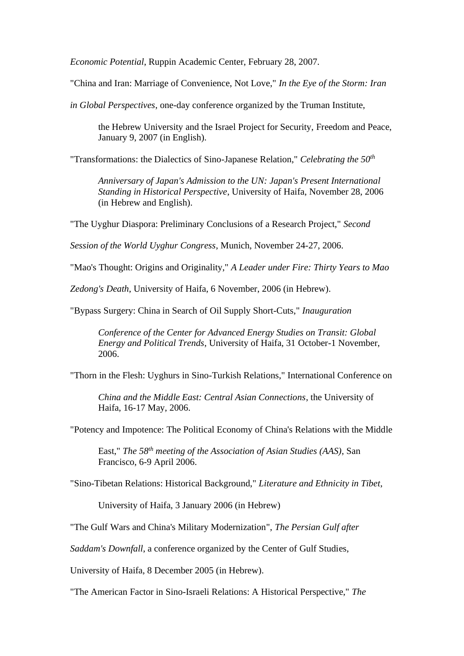*Economic Potential*, Ruppin Academic Center, February 28, 2007.

"China and Iran: Marriage of Convenience, Not Love," *In the Eye of the Storm: Iran*

*in Global Perspectives*, one-day conference organized by the Truman Institute,

the Hebrew University and the Israel Project for Security, Freedom and Peace, January 9, 2007 (in English).

"Transformations: the Dialectics of Sino-Japanese Relation," *Celebrating the 50th*

*Anniversary of Japan's Admission to the UN: Japan's Present International Standing in Historical Perspective*, University of Haifa, November 28, 2006 (in Hebrew and English).

"The Uyghur Diaspora: Preliminary Conclusions of a Research Project," *Second*

*Session of the World Uyghur Congress*, Munich, November 24-27, 2006.

"Mao's Thought: Origins and Originality," *A Leader under Fire: Thirty Years to Mao*

*Zedong's Death*, University of Haifa, 6 November, 2006 (in Hebrew).

"Bypass Surgery: China in Search of Oil Supply Short-Cuts," *Inauguration*

*Conference of the Center for Advanced Energy Studies on Transit: Global Energy and Political Trends*, University of Haifa, 31 October-1 November, 2006.

"Thorn in the Flesh: Uyghurs in Sino-Turkish Relations," International Conference on

*China and the Middle East: Central Asian Connections*, the University of Haifa, 16-17 May, 2006.

"Potency and Impotence: The Political Economy of China's Relations with the Middle

East," *The 58th meeting of the Association of Asian Studies (AAS)*, San Francisco, 6-9 April 2006.

"Sino-Tibetan Relations: Historical Background," *Literature and Ethnicity in Tibet*,

University of Haifa, 3 January 2006 (in Hebrew)

"The Gulf Wars and China's Military Modernization", *The Persian Gulf after*

*Saddam's Downfall*, a conference organized by the Center of Gulf Studies,

University of Haifa, 8 December 2005 (in Hebrew).

"The American Factor in Sino-Israeli Relations: A Historical Perspective," *The*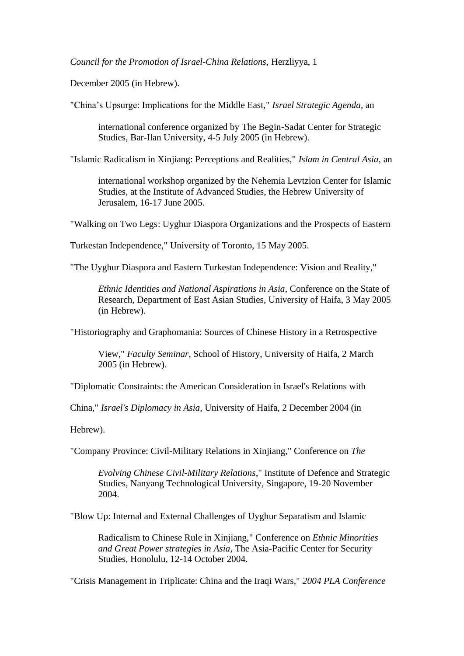*Council for the Promotion of Israel-China Relations*, Herzliyya, 1

December 2005 (in Hebrew).

"China's Upsurge: Implications for the Middle East," *Israel Strategic Agenda*, an

international conference organized by The Begin-Sadat Center for Strategic Studies, Bar-Ilan University, 4-5 July 2005 (in Hebrew).

"Islamic Radicalism in Xinjiang: Perceptions and Realities," *Islam in Central Asia*, an

international workshop organized by the Nehemia Levtzion Center for Islamic Studies, at the Institute of Advanced Studies, the Hebrew University of Jerusalem, 16-17 June 2005.

"Walking on Two Legs: Uyghur Diaspora Organizations and the Prospects of Eastern

Turkestan Independence," University of Toronto, 15 May 2005.

"The Uyghur Diaspora and Eastern Turkestan Independence: Vision and Reality,"

*Ethnic Identities and National Aspirations in Asia*, Conference on the State of Research, Department of East Asian Studies, University of Haifa, 3 May 2005 (in Hebrew).

"Historiography and Graphomania: Sources of Chinese History in a Retrospective

View," *Faculty Seminar*, School of History, University of Haifa, 2 March 2005 (in Hebrew).

"Diplomatic Constraints: the American Consideration in Israel's Relations with

China," *Israel's Diplomacy in Asia*, University of Haifa, 2 December 2004 (in

Hebrew).

"Company Province: Civil-Military Relations in Xinjiang," Conference on *The*

*Evolving Chinese Civil-Military Relations*," Institute of Defence and Strategic Studies, Nanyang Technological University, Singapore, 19-20 November 2004.

"Blow Up: Internal and External Challenges of Uyghur Separatism and Islamic

Radicalism to Chinese Rule in Xinjiang," Conference on *Ethnic Minorities and Great Power strategies in Asia*, The Asia-Pacific Center for Security Studies, Honolulu, 12-14 October 2004.

"Crisis Management in Triplicate: China and the Iraqi Wars," *2004 PLA Conference*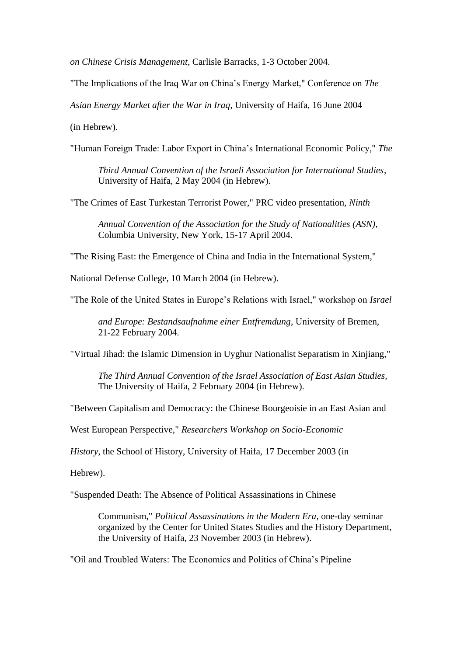*on Chinese Crisis Management*, Carlisle Barracks, 1-3 October 2004.

"The Implications of the Iraq War on China's Energy Market," Conference on *The*

*Asian Energy Market after the War in Iraq*, University of Haifa, 16 June 2004

(in Hebrew).

"Human Foreign Trade: Labor Export in China's International Economic Policy," *The* 

*Third Annual Convention of the Israeli Association for International Studies*, University of Haifa, 2 May 2004 (in Hebrew).

"The Crimes of East Turkestan Terrorist Power," PRC video presentation, *Ninth* 

*Annual Convention of the Association for the Study of Nationalities (ASN)*, Columbia University, New York, 15-17 April 2004.

"The Rising East: the Emergence of China and India in the International System,"

National Defense College, 10 March 2004 (in Hebrew).

"The Role of the United States in Europe's Relations with Israel," workshop on *Israel*

*and Europe: Bestandsaufnahme einer Entfremdung*, University of Bremen, 21-22 February 2004.

"Virtual Jihad: the Islamic Dimension in Uyghur Nationalist Separatism in Xinjiang,"

*The Third Annual Convention of the Israel Association of East Asian Studies,* The University of Haifa, 2 February 2004 (in Hebrew).

"Between Capitalism and Democracy: the Chinese Bourgeoisie in an East Asian and

West European Perspective," *Researchers Workshop on Socio-Economic* 

*History*, the School of History, University of Haifa, 17 December 2003 (in

Hebrew).

"Suspended Death: The Absence of Political Assassinations in Chinese

Communism," *Political Assassinations in the Modern Era*, one-day seminar organized by the Center for United States Studies and the History Department, the University of Haifa, 23 November 2003 (in Hebrew).

"Oil and Troubled Waters: The Economics and Politics of China's Pipeline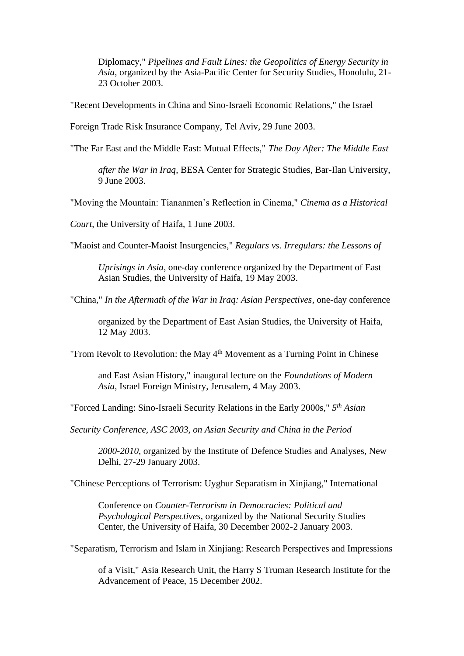Diplomacy," *Pipelines and Fault Lines: the Geopolitics of Energy Security in Asia*, organized by the Asia-Pacific Center for Security Studies, Honolulu, 21- 23 October 2003.

"Recent Developments in China and Sino-Israeli Economic Relations," the Israel

Foreign Trade Risk Insurance Company, Tel Aviv, 29 June 2003.

"The Far East and the Middle East: Mutual Effects," *The Day After: The Middle East*

*after the War in Iraq*, BESA Center for Strategic Studies, Bar-Ilan University, 9 June 2003.

"Moving the Mountain: Tiananmen's Reflection in Cinema," *Cinema as a Historical*

*Court*, the University of Haifa, 1 June 2003.

"Maoist and Counter-Maoist Insurgencies," *Regulars vs. Irregulars: the Lessons of* 

*Uprisings in Asia*, one-day conference organized by the Department of East Asian Studies, the University of Haifa, 19 May 2003.

"China," *In the Aftermath of the War in Iraq: Asian Perspectives*, one-day conference

organized by the Department of East Asian Studies, the University of Haifa, 12 May 2003.

"From Revolt to Revolution: the May  $4<sup>th</sup>$  Movement as a Turning Point in Chinese

and East Asian History," inaugural lecture on the *Foundations of Modern Asia*, Israel Foreign Ministry, Jerusalem, 4 May 2003.

"Forced Landing: Sino-Israeli Security Relations in the Early 2000s," *5 th Asian*

*Security Conference, ASC 2003, on Asian Security and China in the Period* 

*2000-2010*, organized by the Institute of Defence Studies and Analyses, New Delhi, 27-29 January 2003.

"Chinese Perceptions of Terrorism: Uyghur Separatism in Xinjiang," International

Conference on *Counter-Terrorism in Democracies: Political and Psychological Perspectives*, organized by the National Security Studies Center, the University of Haifa, 30 December 2002-2 January 2003.

"Separatism, Terrorism and Islam in Xinjiang: Research Perspectives and Impressions

of a Visit," Asia Research Unit, the Harry S Truman Research Institute for the Advancement of Peace, 15 December 2002.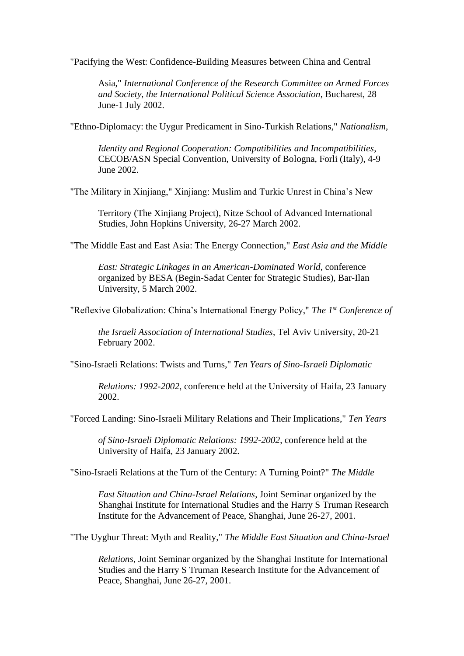"Pacifying the West: Confidence-Building Measures between China and Central

Asia," *International Conference of the Research Committee on Armed Forces and Society, the International Political Science Association*, Bucharest, 28 June-1 July 2002.

"Ethno-Diplomacy: the Uygur Predicament in Sino-Turkish Relations," *Nationalism,*

*Identity and Regional Cooperation: Compatibilities and Incompatibilities*, CECOB/ASN Special Convention, University of Bologna, Forli (Italy), 4-9 June 2002.

"The Military in Xinjiang," Xinjiang: Muslim and Turkic Unrest in China's New

Territory (The Xinjiang Project), Nitze School of Advanced International Studies, John Hopkins University, 26-27 March 2002.

"The Middle East and East Asia: The Energy Connection," *East Asia and the Middle* 

*East: Strategic Linkages in an American-Dominated World*, conference organized by BESA (Begin-Sadat Center for Strategic Studies), Bar-Ilan University, 5 March 2002.

"Reflexive Globalization: China's International Energy Policy," *The 1st Conference of* 

*the Israeli Association of International Studies*, Tel Aviv University, 20-21 February 2002.

"Sino-Israeli Relations: Twists and Turns," *Ten Years of Sino-Israeli Diplomatic*

*Relations: 1992-2002*, conference held at the University of Haifa, 23 January 2002.

"Forced Landing: Sino-Israeli Military Relations and Their Implications," *Ten Years* 

*of Sino-Israeli Diplomatic Relations: 1992-2002*, conference held at the University of Haifa, 23 January 2002.

"Sino-Israeli Relations at the Turn of the Century: A Turning Point?" *The Middle* 

*East Situation and China-Israel Relations*, Joint Seminar organized by the Shanghai Institute for International Studies and the Harry S Truman Research Institute for the Advancement of Peace, Shanghai, June 26-27, 2001.

"The Uyghur Threat: Myth and Reality," *The Middle East Situation and China-Israel*

*Relations*, Joint Seminar organized by the Shanghai Institute for International Studies and the Harry S Truman Research Institute for the Advancement of Peace, Shanghai, June 26-27, 2001.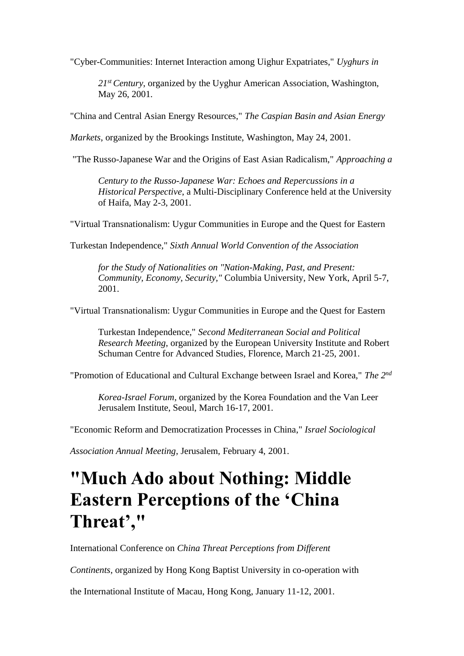"Cyber-Communities: Internet Interaction among Uighur Expatriates," *Uyghurs in* 

*21st Century*, organized by the Uyghur American Association, Washington, May 26, 2001.

"China and Central Asian Energy Resources," *The Caspian Basin and Asian Energy*

*Markets*, organized by the Brookings Institute, Washington, May 24, 2001.

"The Russo-Japanese War and the Origins of East Asian Radicalism," *Approaching a*

*Century to the Russo-Japanese War: Echoes and Repercussions in a Historical Perspective*, a Multi-Disciplinary Conference held at the University of Haifa, May 2-3, 2001.

"Virtual Transnationalism: Uygur Communities in Europe and the Quest for Eastern

Turkestan Independence," *Sixth Annual World Convention of the Association*

*for the Study of Nationalities on "Nation-Making, Past, and Present: Community, Economy, Security,"* Columbia University, New York, April 5-7, 2001.

"Virtual Transnationalism: Uygur Communities in Europe and the Quest for Eastern

Turkestan Independence," *Second Mediterranean Social and Political Research Meeting*, organized by the European University Institute and Robert Schuman Centre for Advanced Studies, Florence, March 21-25, 2001.

"Promotion of Educational and Cultural Exchange between Israel and Korea," *The 2nd*

*Korea-Israel Forum*, organized by the Korea Foundation and the Van Leer Jerusalem Institute, Seoul, March 16-17, 2001.

"Economic Reform and Democratization Processes in China," *Israel Sociological*

*Association Annual Meeting*, Jerusalem, February 4, 2001.

# **"Much Ado about Nothing: Middle Eastern Perceptions of the 'China Threat',"**

International Conference on *China Threat Perceptions from Different* 

*Continents*, organized by Hong Kong Baptist University in co-operation with

the International Institute of Macau, Hong Kong, January 11-12, 2001.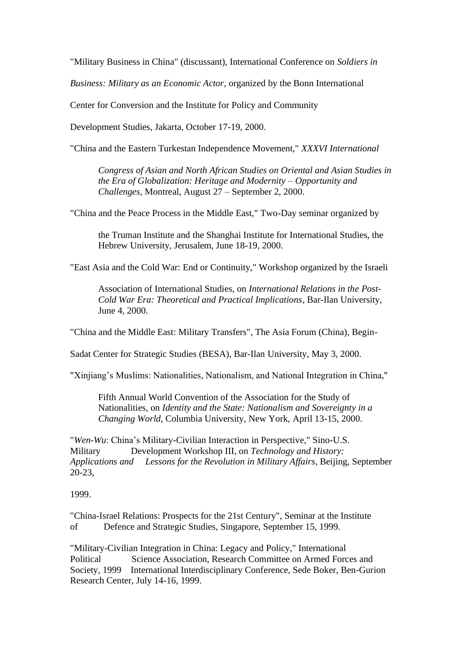"Military Business in China" (discussant), International Conference on *Soldiers in*

*Business: Military as an Economic Actor*, organized by the Bonn International

Center for Conversion and the Institute for Policy and Community

Development Studies, Jakarta, October 17-19, 2000.

"China and the Eastern Turkestan Independence Movement," *XXXVI International*

*Congress of Asian and North African Studies on Oriental and Asian Studies in the Era of Globalization: Heritage and Modernity – Opportunity and Challenges*, Montreal, August 27 – September 2, 2000.

"China and the Peace Process in the Middle East," Two-Day seminar organized by

the Truman Institute and the Shanghai Institute for International Studies, the Hebrew University, Jerusalem, June 18-19, 2000.

"East Asia and the Cold War: End or Continuity," Workshop organized by the Israeli

Association of International Studies, on *International Relations in the Post-Cold War Era: Theoretical and Practical Implications*, Bar-Ilan University, June 4, 2000.

"China and the Middle East: Military Transfers", The Asia Forum (China), Begin-

Sadat Center for Strategic Studies (BESA), Bar-Ilan University, May 3, 2000.

"Xinjiang's Muslims: Nationalities, Nationalism, and National Integration in China,"

Fifth Annual World Convention of the Association for the Study of Nationalities, on *Identity and the State: Nationalism and Sovereignty in a Changing World*, Columbia University, New York, April 13-15, 2000.

"*Wen-Wu*: China's Military-Civilian Interaction in Perspective," Sino-U.S. Military Development Workshop III, on *Technology and History: Applications and Lessons for the Revolution in Military Affairs*, Beijing, September 20-23,

1999.

"China-Israel Relations: Prospects for the 21st Century", Seminar at the Institute of Defence and Strategic Studies, Singapore, September 15, 1999.

"Military-Civilian Integration in China: Legacy and Policy," International Political Science Association, Research Committee on Armed Forces and Society, 1999 International Interdisciplinary Conference, Sede Boker, Ben-Gurion Research Center, July 14-16, 1999.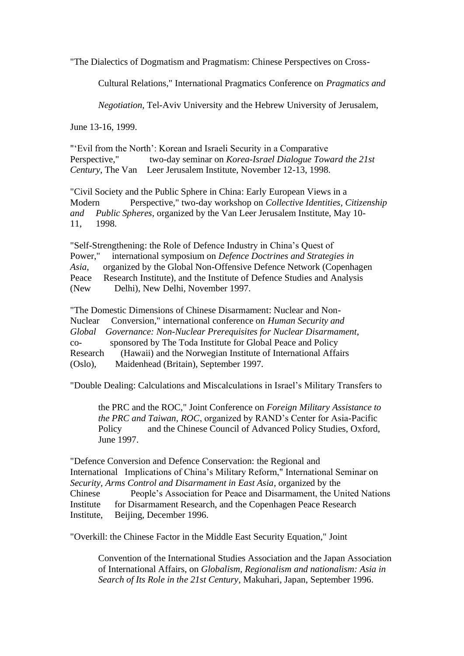"The Dialectics of Dogmatism and Pragmatism: Chinese Perspectives on Cross-

Cultural Relations," International Pragmatics Conference on *Pragmatics and* 

*Negotiation*, Tel-Aviv University and the Hebrew University of Jerusalem,

June 13-16, 1999.

"'Evil from the North': Korean and Israeli Security in a Comparative Perspective," two-day seminar on *Korea-Israel Dialogue Toward the 21st Century*, The Van Leer Jerusalem Institute, November 12-13, 1998.

"Civil Society and the Public Sphere in China: Early European Views in a Modern Perspective," two-day workshop on *Collective Identities, Citizenship and Public Spheres*, organized by the Van Leer Jerusalem Institute, May 10- 11, 1998.

"Self-Strengthening: the Role of Defence Industry in China's Quest of Power," international symposium on *Defence Doctrines and Strategies in Asia*, organized by the Global Non-Offensive Defence Network (Copenhagen Peace Research Institute), and the Institute of Defence Studies and Analysis (New Delhi), New Delhi, November 1997.

"The Domestic Dimensions of Chinese Disarmament: Nuclear and Non-Nuclear Conversion," international conference on *Human Security and Global Governance: Non-Nuclear Prerequisites for Nuclear Disarmament*, co- sponsored by The Toda Institute for Global Peace and Policy Research (Hawaii) and the Norwegian Institute of International Affairs (Oslo), Maidenhead (Britain), September 1997.

"Double Dealing: Calculations and Miscalculations in Israel's Military Transfers to

the PRC and the ROC," Joint Conference on *Foreign Military Assistance to the PRC and Taiwan, ROC*, organized by RAND's Center for Asia-Pacific Policy and the Chinese Council of Advanced Policy Studies, Oxford, June 1997.

"Defence Conversion and Defence Conservation: the Regional and International Implications of China's Military Reform," International Seminar on *Security, Arms Control and Disarmament in East Asia*, organized by the Chinese People's Association for Peace and Disarmament, the United Nations Institute for Disarmament Research, and the Copenhagen Peace Research Institute, Beijing, December 1996.

"Overkill: the Chinese Factor in the Middle East Security Equation," Joint

Convention of the International Studies Association and the Japan Association of International Affairs, on *Globalism, Regionalism and nationalism: Asia in Search of Its Role in the 21st Century*, Makuhari, Japan, September 1996.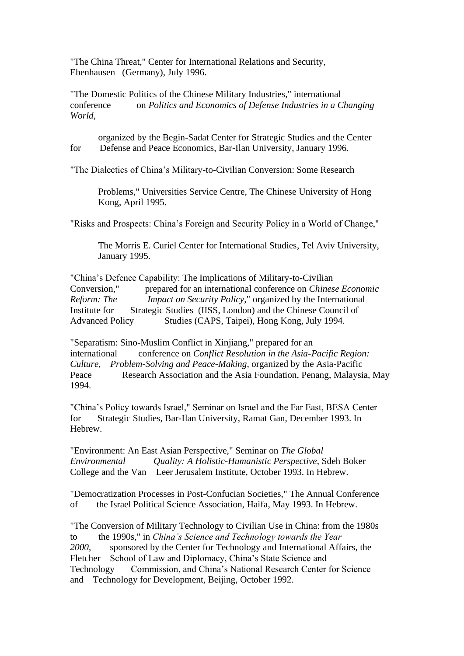"The China Threat," Center for International Relations and Security, Ebenhausen (Germany), July 1996.

"The Domestic Politics of the Chinese Military Industries," international conference on *Politics and Economics of Defense Industries in a Changing World*,

organized by the Begin-Sadat Center for Strategic Studies and the Center for Defense and Peace Economics, Bar-Ilan University, January 1996.

"The Dialectics of China's Military-to-Civilian Conversion: Some Research

Problems," Universities Service Centre, The Chinese University of Hong Kong, April 1995.

"Risks and Prospects: China's Foreign and Security Policy in a World of Change,"

The Morris E. Curiel Center for International Studies, Tel Aviv University, January 1995.

"China's Defence Capability: The Implications of Military-to-Civilian Conversion," prepared for an international conference on *Chinese Economic Reform: The Impact on Security Policy*," organized by the International Institute for Strategic Studies (IISS, London) and the Chinese Council of Advanced Policy Studies (CAPS, Taipei), Hong Kong, July 1994.

"Separatism: Sino-Muslim Conflict in Xinjiang," prepared for an international conference on *Conflict Resolution in the Asia-Pacific Region: Culture, Problem-Solving and Peace-Making*, organized by the Asia-Pacific Peace Research Association and the Asia Foundation, Penang, Malaysia, May 1994.

"China's Policy towards Israel," Seminar on Israel and the Far East, BESA Center for Strategic Studies, Bar-Ilan University, Ramat Gan, December 1993. In Hebrew.

"Environment: An East Asian Perspective," Seminar on *The Global Environmental Quality: A Holistic-Humanistic Perspective*, Sdeh Boker College and the Van Leer Jerusalem Institute, October 1993. In Hebrew.

"Democratization Processes in Post-Confucian Societies," The Annual Conference of the Israel Political Science Association, Haifa, May 1993. In Hebrew.

"The Conversion of Military Technology to Civilian Use in China: from the 1980s to the 1990s," in *China's Science and Technology towards the Year 2000*, sponsored by the Center for Technology and International Affairs, the Fletcher School of Law and Diplomacy, China's State Science and Technology Commission, and China's National Research Center for Science and Technology for Development, Beijing, October 1992.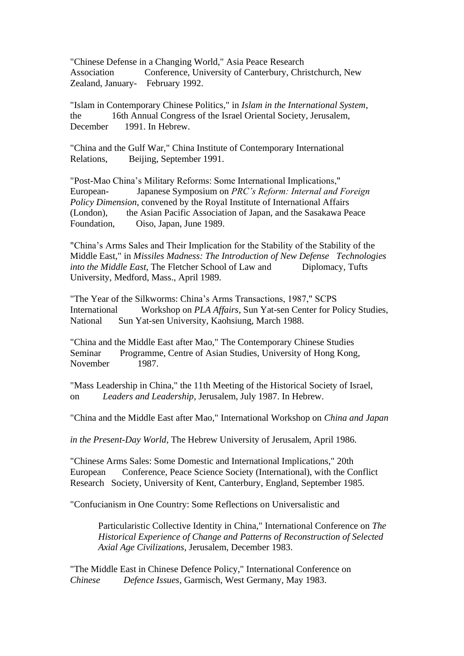"Chinese Defense in a Changing World," Asia Peace Research Association Conference, University of Canterbury, Christchurch, New Zealand, January- February 1992.

"Islam in Contemporary Chinese Politics," in *Islam in the International System*, the 16th Annual Congress of the Israel Oriental Society, Jerusalem, December 1991. In Hebrew.

"China and the Gulf War," China Institute of Contemporary International Relations, Beijing, September 1991.

"Post-Mao China's Military Reforms: Some International Implications," European- Japanese Symposium on *PRC's Reform: Internal and Foreign Policy Dimension*, convened by the Royal Institute of International Affairs (London), the Asian Pacific Association of Japan, and the Sasakawa Peace Foundation, Oiso, Japan, June 1989.

"China's Arms Sales and Their Implication for the Stability of the Stability of the Middle East," in *Missiles Madness: The Introduction of New Defense Technologies into the Middle East*, The Fletcher School of Law and Diplomacy, Tufts University, Medford, Mass., April 1989.

"The Year of the Silkworms: China's Arms Transactions, 1987," SCPS International Workshop on *PLA Affairs*, Sun Yat-sen Center for Policy Studies, National Sun Yat-sen University, Kaohsiung, March 1988.

"China and the Middle East after Mao," The Contemporary Chinese Studies Seminar Programme, Centre of Asian Studies, University of Hong Kong, November 1987.

"Mass Leadership in China," the 11th Meeting of the Historical Society of Israel, on *Leaders and Leadership*, Jerusalem, July 1987. In Hebrew.

"China and the Middle East after Mao," International Workshop on *China and Japan*

*in the Present-Day World*, The Hebrew University of Jerusalem, April 1986.

"Chinese Arms Sales: Some Domestic and International Implications," 20th European Conference, Peace Science Society (International), with the Conflict Research Society, University of Kent, Canterbury, England, September 1985.

"Confucianism in One Country: Some Reflections on Universalistic and

Particularistic Collective Identity in China," International Conference on *The Historical Experience of Change and Patterns of Reconstruction of Selected Axial Age Civilizations*, Jerusalem, December 1983.

"The Middle East in Chinese Defence Policy," International Conference on *Chinese Defence Issues*, Garmisch, West Germany, May 1983.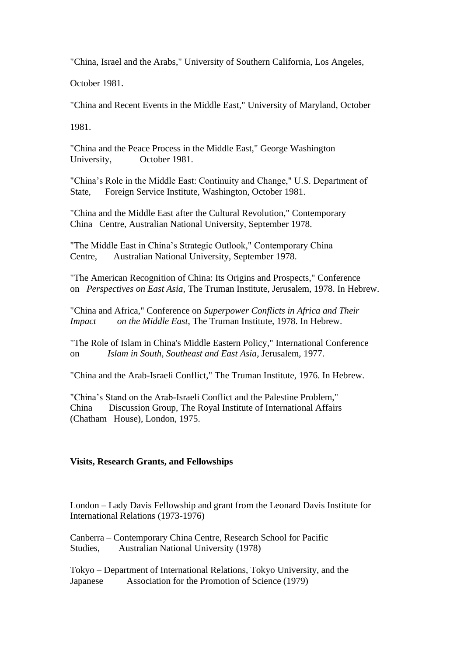"China, Israel and the Arabs," University of Southern California, Los Angeles,

October 1981.

"China and Recent Events in the Middle East," University of Maryland, October

1981.

"China and the Peace Process in the Middle East," George Washington University, October 1981.

"China's Role in the Middle East: Continuity and Change," U.S. Department of State, Foreign Service Institute, Washington, October 1981.

"China and the Middle East after the Cultural Revolution," Contemporary China Centre, Australian National University, September 1978.

"The Middle East in China's Strategic Outlook," Contemporary China Centre, Australian National University, September 1978.

"The American Recognition of China: Its Origins and Prospects," Conference on *Perspectives on East Asia*, The Truman Institute, Jerusalem, 1978. In Hebrew.

"China and Africa," Conference on *Superpower Conflicts in Africa and Their Impact on the Middle East*, The Truman Institute, 1978. In Hebrew.

"The Role of Islam in China's Middle Eastern Policy," International Conference on *Islam in South, Southeast and East Asia*, Jerusalem, 1977.

"China and the Arab-Israeli Conflict," The Truman Institute, 1976. In Hebrew.

"China's Stand on the Arab-Israeli Conflict and the Palestine Problem," China Discussion Group, The Royal Institute of International Affairs (Chatham House), London, 1975.

# **Visits, Research Grants, and Fellowships**

London – Lady Davis Fellowship and grant from the Leonard Davis Institute for International Relations (1973-1976)

Canberra – Contemporary China Centre, Research School for Pacific Studies, Australian National University (1978)

Tokyo – Department of International Relations, Tokyo University, and the Japanese Association for the Promotion of Science (1979)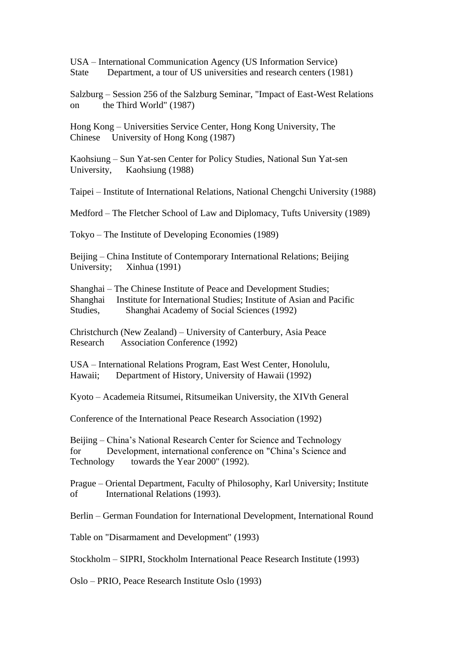USA – International Communication Agency (US Information Service) State Department, a tour of US universities and research centers (1981)

Salzburg – Session 256 of the Salzburg Seminar, "Impact of East-West Relations on the Third World" (1987)

Hong Kong – Universities Service Center, Hong Kong University, The Chinese University of Hong Kong (1987)

Kaohsiung – Sun Yat-sen Center for Policy Studies, National Sun Yat-sen University, Kaohsiung (1988)

Taipei – Institute of International Relations, National Chengchi University (1988)

Medford – The Fletcher School of Law and Diplomacy, Tufts University (1989)

Tokyo – The Institute of Developing Economies (1989)

Beijing – China Institute of Contemporary International Relations; Beijing University; Xinhua (1991)

Shanghai – The Chinese Institute of Peace and Development Studies; Shanghai Institute for International Studies; Institute of Asian and Pacific Studies, Shanghai Academy of Social Sciences (1992)

Christchurch (New Zealand) – University of Canterbury, Asia Peace Research Association Conference (1992)

USA – International Relations Program, East West Center, Honolulu, Hawaii; Department of History, University of Hawaii (1992)

Kyoto – Academeia Ritsumei, Ritsumeikan University, the XIVth General

Conference of the International Peace Research Association (1992)

Beijing – China's National Research Center for Science and Technology for Development, international conference on "China's Science and Technology towards the Year 2000" (1992).

Prague – Oriental Department, Faculty of Philosophy, Karl University; Institute of International Relations (1993).

Berlin – German Foundation for International Development, International Round

Table on "Disarmament and Development" (1993)

Stockholm – SIPRI, Stockholm International Peace Research Institute (1993)

Oslo – PRIO, Peace Research Institute Oslo (1993)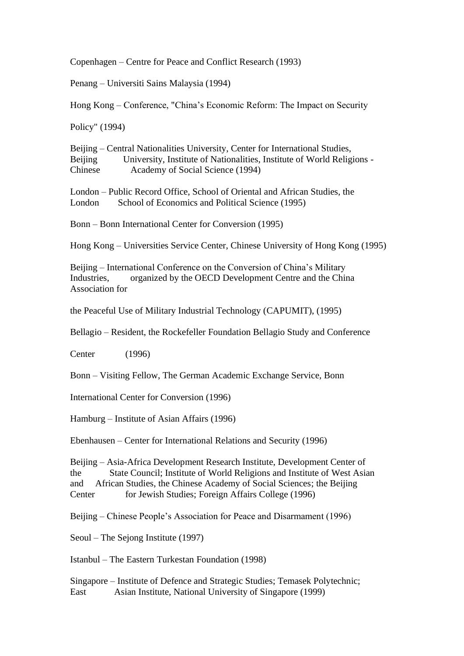Copenhagen – Centre for Peace and Conflict Research (1993)

Penang – Universiti Sains Malaysia (1994)

Hong Kong – Conference, "China's Economic Reform: The Impact on Security

Policy" (1994)

Beijing – Central Nationalities University, Center for International Studies, Beijing University, Institute of Nationalities, Institute of World Religions - Chinese Academy of Social Science (1994)

London – Public Record Office, School of Oriental and African Studies, the London School of Economics and Political Science (1995)

Bonn – Bonn International Center for Conversion (1995)

Hong Kong – Universities Service Center, Chinese University of Hong Kong (1995)

Beijing – International Conference on the Conversion of China's Military Industries, organized by the OECD Development Centre and the China Association for

the Peaceful Use of Military Industrial Technology (CAPUMIT), (1995)

Bellagio – Resident, the Rockefeller Foundation Bellagio Study and Conference

Center (1996)

Bonn – Visiting Fellow, The German Academic Exchange Service, Bonn

International Center for Conversion (1996)

Hamburg – Institute of Asian Affairs (1996)

Ebenhausen – Center for International Relations and Security (1996)

Beijing – Asia-Africa Development Research Institute, Development Center of the State Council; Institute of World Religions and Institute of West Asian and African Studies, the Chinese Academy of Social Sciences; the Beijing Center for Jewish Studies; Foreign Affairs College (1996)

Beijing – Chinese People's Association for Peace and Disarmament (1996)

Seoul – The Sejong Institute (1997)

Istanbul – The Eastern Turkestan Foundation (1998)

Singapore – Institute of Defence and Strategic Studies; Temasek Polytechnic; East Asian Institute, National University of Singapore (1999)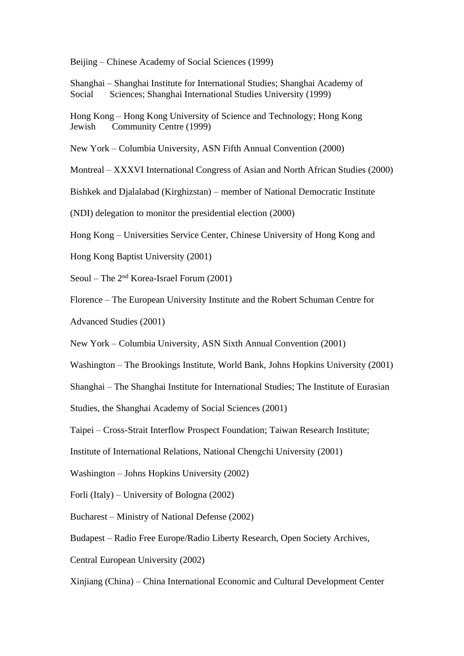Beijing – Chinese Academy of Social Sciences (1999)

Shanghai – Shanghai Institute for International Studies; Shanghai Academy of Social Sciences; Shanghai International Studies University (1999)

Hong Kong – Hong Kong University of Science and Technology; Hong Kong Jewish Community Centre (1999)

New York – Columbia University, ASN Fifth Annual Convention (2000)

Montreal – XXXVI International Congress of Asian and North African Studies (2000)

Bishkek and Djalalabad (Kirghizstan) – member of National Democratic Institute

(NDI) delegation to monitor the presidential election (2000)

Hong Kong – Universities Service Center, Chinese University of Hong Kong and

Hong Kong Baptist University (2001)

Seoul – The 2nd Korea-Israel Forum (2001)

Florence – The European University Institute and the Robert Schuman Centre for

Advanced Studies (2001)

New York – Columbia University, ASN Sixth Annual Convention (2001)

Washington – The Brookings Institute, World Bank, Johns Hopkins University (2001)

Shanghai – The Shanghai Institute for International Studies; The Institute of Eurasian

Studies, the Shanghai Academy of Social Sciences (2001)

Taipei – Cross-Strait Interflow Prospect Foundation; Taiwan Research Institute;

Institute of International Relations, National Chengchi University (2001)

Washington – Johns Hopkins University (2002)

Forli (Italy) – University of Bologna (2002)

Bucharest – Ministry of National Defense (2002)

Budapest – Radio Free Europe/Radio Liberty Research, Open Society Archives,

Central European University (2002)

Xinjiang (China) – China International Economic and Cultural Development Center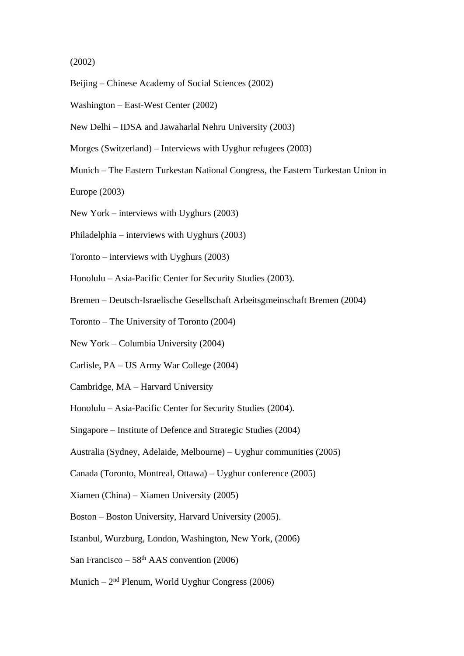## (2002)

- Beijing Chinese Academy of Social Sciences (2002)
- Washington East-West Center (2002)
- New Delhi IDSA and Jawaharlal Nehru University (2003)
- Morges (Switzerland) Interviews with Uyghur refugees (2003)
- Munich The Eastern Turkestan National Congress, the Eastern Turkestan Union in

Europe (2003)

- New York interviews with Uyghurs (2003)
- Philadelphia interviews with Uyghurs (2003)
- Toronto interviews with Uyghurs (2003)
- Honolulu Asia-Pacific Center for Security Studies (2003).
- Bremen Deutsch-Israelische Gesellschaft Arbeitsgmeinschaft Bremen (2004)
- Toronto The University of Toronto (2004)
- New York Columbia University (2004)
- Carlisle, PA US Army War College (2004)
- Cambridge, MA Harvard University
- Honolulu Asia-Pacific Center for Security Studies (2004).
- Singapore Institute of Defence and Strategic Studies (2004)
- Australia (Sydney, Adelaide, Melbourne) Uyghur communities (2005)
- Canada (Toronto, Montreal, Ottawa) Uyghur conference (2005)
- Xiamen (China) Xiamen University (2005)
- Boston Boston University, Harvard University (2005).
- Istanbul, Wurzburg, London, Washington, New York, (2006)
- San Francisco  $58<sup>th</sup> AAS$  convention (2006)
- Munich 2<sup>nd</sup> Plenum, World Uyghur Congress (2006)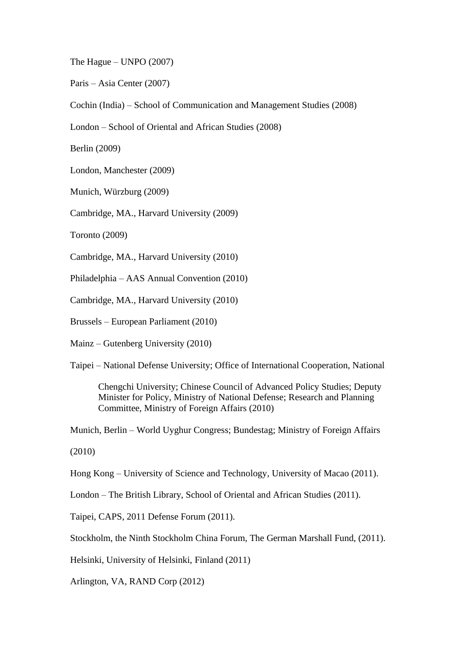The Hague – UNPO  $(2007)$ 

Paris – Asia Center (2007)

Cochin (India) – School of Communication and Management Studies (2008)

London – School of Oriental and African Studies (2008)

Berlin (2009)

London, Manchester (2009)

Munich, Würzburg (2009)

Cambridge, MA., Harvard University (2009)

Toronto (2009)

Cambridge, MA., Harvard University (2010)

Philadelphia – AAS Annual Convention (2010)

Cambridge, MA., Harvard University (2010)

Brussels – European Parliament (2010)

Mainz – Gutenberg University (2010)

Taipei – National Defense University; Office of International Cooperation, National

Chengchi University; Chinese Council of Advanced Policy Studies; Deputy Minister for Policy, Ministry of National Defense; Research and Planning Committee, Ministry of Foreign Affairs (2010)

Munich, Berlin – World Uyghur Congress; Bundestag; Ministry of Foreign Affairs

(2010)

Hong Kong – University of Science and Technology, University of Macao (2011).

London – The British Library, School of Oriental and African Studies (2011).

Taipei, CAPS, 2011 Defense Forum (2011).

Stockholm, the Ninth Stockholm China Forum, The German Marshall Fund, (2011).

Helsinki, University of Helsinki, Finland (2011)

Arlington, VA, RAND Corp (2012)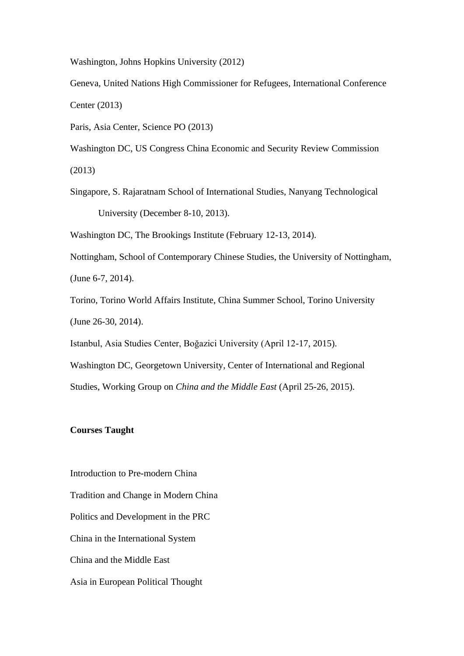Washington, Johns Hopkins University (2012)

Geneva, United Nations High Commissioner for Refugees, International Conference Center (2013)

Paris, Asia Center, Science PO (2013)

Washington DC, US Congress China Economic and Security Review Commission (2013)

Singapore, S. Rajaratnam School of International Studies, Nanyang Technological University (December 8-10, 2013).

Washington DC, The Brookings Institute (February 12-13, 2014).

Nottingham, School of Contemporary Chinese Studies, the University of Nottingham, (June 6-7, 2014).

Torino, Torino World Affairs Institute, China Summer School, Torino University (June 26-30, 2014).

Istanbul, Asia Studies Center, Boğazici University (April 12-17, 2015).

Washington DC, Georgetown University, Center of International and Regional Studies, Working Group on *China and the Middle East* (April 25-26, 2015).

## **Courses Taught**

Introduction to Pre-modern China Tradition and Change in Modern China Politics and Development in the PRC China in the International System China and the Middle East Asia in European Political Thought